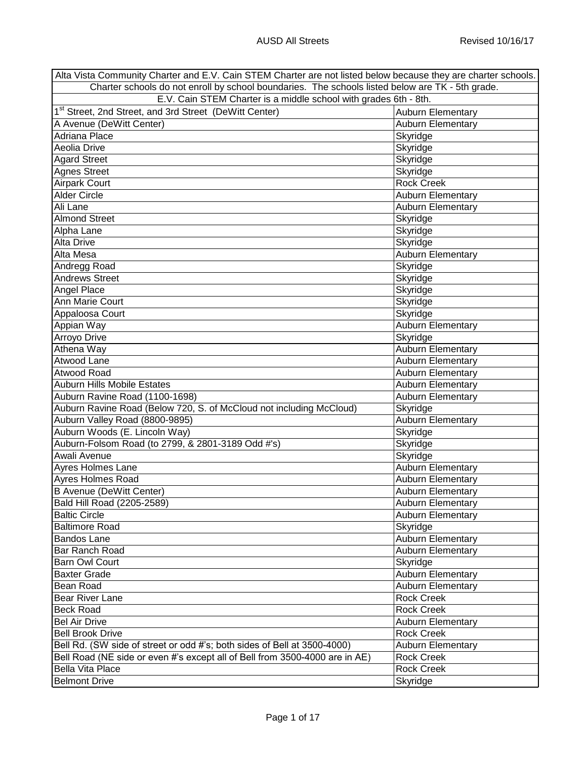| Alta Vista Community Charter and E.V. Cain STEM Charter are not listed below because they are charter schools. |                          |
|----------------------------------------------------------------------------------------------------------------|--------------------------|
| Charter schools do not enroll by school boundaries. The schools listed below are TK - 5th grade.               |                          |
| E.V. Cain STEM Charter is a middle school with grades 6th - 8th.                                               |                          |
| 1 <sup>st</sup> Street, 2nd Street, and 3rd Street (DeWitt Center)                                             | <b>Auburn Elementary</b> |
| A Avenue (DeWitt Center)                                                                                       | Auburn Elementary        |
| Adriana Place                                                                                                  | Skyridge                 |
| Aeolia Drive                                                                                                   | Skyridge                 |
| <b>Agard Street</b>                                                                                            | Skyridge                 |
| Agnes Street                                                                                                   | Skyridge                 |
| <b>Airpark Court</b>                                                                                           | <b>Rock Creek</b>        |
| <b>Alder Circle</b>                                                                                            | Auburn Elementary        |
| Ali Lane                                                                                                       | Auburn Elementary        |
| <b>Almond Street</b>                                                                                           | Skyridge                 |
| Alpha Lane                                                                                                     | Skyridge                 |
| Alta Drive                                                                                                     |                          |
|                                                                                                                | Skyridge                 |
| Alta Mesa                                                                                                      | Auburn Elementary        |
| Andregg Road                                                                                                   | Skyridge                 |
| <b>Andrews Street</b>                                                                                          | Skyridge                 |
| Angel Place                                                                                                    | Skyridge                 |
| Ann Marie Court                                                                                                | Skyridge                 |
| Appaloosa Court                                                                                                | Skyridge                 |
| Appian Way                                                                                                     | Auburn Elementary        |
| Arroyo Drive                                                                                                   | Skyridge                 |
| Athena Way                                                                                                     | Auburn Elementary        |
| Atwood Lane                                                                                                    | Auburn Elementary        |
| Atwood Road                                                                                                    | Auburn Elementary        |
| <b>Auburn Hills Mobile Estates</b>                                                                             | Auburn Elementary        |
| Auburn Ravine Road (1100-1698)                                                                                 | Auburn Elementary        |
| Auburn Ravine Road (Below 720, S. of McCloud not including McCloud)                                            | Skyridge                 |
| Auburn Valley Road (8800-9895)                                                                                 | Auburn Elementary        |
| Auburn Woods (E. Lincoln Way)                                                                                  | Skyridge                 |
| Auburn-Folsom Road (to 2799, & 2801-3189 Odd #'s)                                                              | Skyridge                 |
| Awali Avenue                                                                                                   | Skyridge                 |
| Ayres Holmes Lane                                                                                              | Auburn Elementary        |
| Ayres Holmes Road                                                                                              | Auburn Elementary        |
| <b>B Avenue (DeWitt Center)</b>                                                                                | <b>Auburn Elementary</b> |
| Bald Hill Road (2205-2589)                                                                                     | Auburn Elementary        |
| <b>Baltic Circle</b>                                                                                           | <b>Auburn Elementary</b> |
| <b>Baltimore Road</b>                                                                                          | Skyridge                 |
| <b>Bandos Lane</b>                                                                                             | Auburn Elementary        |
| Bar Ranch Road                                                                                                 | <b>Auburn Elementary</b> |
|                                                                                                                |                          |
| <b>Barn Owl Court</b>                                                                                          | Skyridge                 |
| <b>Baxter Grade</b>                                                                                            | <b>Auburn Elementary</b> |
| Bean Road                                                                                                      | Auburn Elementary        |
| <b>Bear River Lane</b>                                                                                         | <b>Rock Creek</b>        |
| <b>Beck Road</b>                                                                                               | <b>Rock Creek</b>        |
| <b>Bel Air Drive</b>                                                                                           | Auburn Elementary        |
| <b>Bell Brook Drive</b>                                                                                        | <b>Rock Creek</b>        |
| Bell Rd. (SW side of street or odd #'s; both sides of Bell at 3500-4000)                                       | <b>Auburn Elementary</b> |
| Bell Road (NE side or even #'s except all of Bell from 3500-4000 are in AE)                                    | <b>Rock Creek</b>        |
| <b>Bella Vita Place</b>                                                                                        | <b>Rock Creek</b>        |
| <b>Belmont Drive</b>                                                                                           | Skyridge                 |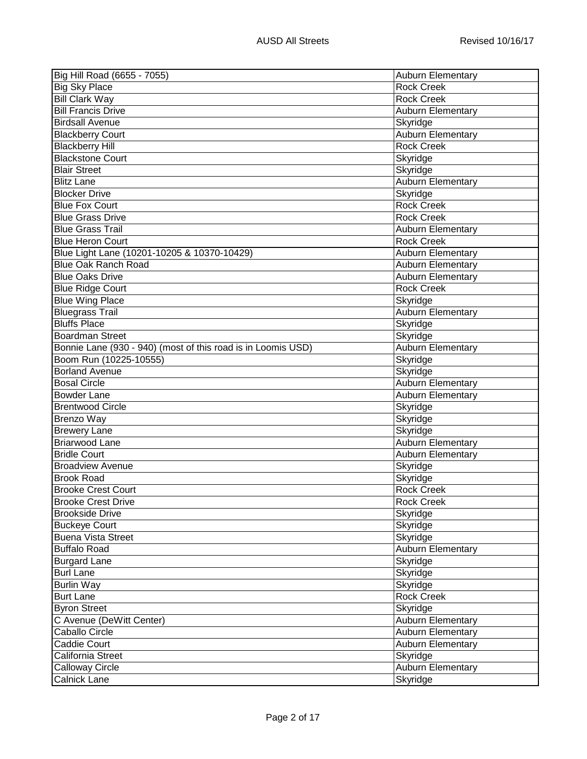| Big Hill Road (6655 - 7055)                                  | Auburn Elementary        |
|--------------------------------------------------------------|--------------------------|
| <b>Big Sky Place</b>                                         | <b>Rock Creek</b>        |
| <b>Bill Clark Way</b>                                        | <b>Rock Creek</b>        |
| <b>Bill Francis Drive</b>                                    | <b>Auburn Elementary</b> |
| <b>Birdsall Avenue</b>                                       | Skyridge                 |
| <b>Blackberry Court</b>                                      | <b>Auburn Elementary</b> |
| <b>Blackberry Hill</b>                                       | <b>Rock Creek</b>        |
| <b>Blackstone Court</b>                                      | Skyridge                 |
| <b>Blair Street</b>                                          | Skyridge                 |
| <b>Blitz Lane</b>                                            | <b>Auburn Elementary</b> |
| <b>Blocker Drive</b>                                         | Skyridge                 |
| <b>Blue Fox Court</b>                                        | <b>Rock Creek</b>        |
| <b>Blue Grass Drive</b>                                      | <b>Rock Creek</b>        |
| <b>Blue Grass Trail</b>                                      | <b>Auburn Elementary</b> |
| <b>Blue Heron Court</b>                                      | <b>Rock Creek</b>        |
| Blue Light Lane (10201-10205 & 10370-10429)                  | Auburn Elementary        |
| <b>Blue Oak Ranch Road</b>                                   | <b>Auburn Elementary</b> |
| <b>Blue Oaks Drive</b>                                       | <b>Auburn Elementary</b> |
| <b>Blue Ridge Court</b>                                      | <b>Rock Creek</b>        |
| <b>Blue Wing Place</b>                                       | Skyridge                 |
| <b>Bluegrass Trail</b>                                       | Auburn Elementary        |
| <b>Bluffs Place</b>                                          | Skyridge                 |
| <b>Boardman Street</b>                                       | Skyridge                 |
| Bonnie Lane (930 - 940) (most of this road is in Loomis USD) | <b>Auburn Elementary</b> |
| Boom Run (10225-10555)                                       | Skyridge                 |
| <b>Borland Avenue</b>                                        | Skyridge                 |
| <b>Bosal Circle</b>                                          | <b>Auburn Elementary</b> |
| <b>Bowder Lane</b>                                           | <b>Auburn Elementary</b> |
| <b>Brentwood Circle</b>                                      | Skyridge                 |
| <b>Brenzo Way</b>                                            | Skyridge                 |
| <b>Brewery Lane</b>                                          | Skyridge                 |
| <b>Briarwood Lane</b>                                        | Auburn Elementary        |
| <b>Bridle Court</b>                                          | <b>Auburn Elementary</b> |
| <b>Broadview Avenue</b>                                      | Skyridge                 |
| <b>Brook Road</b>                                            | Skyridge                 |
| <b>Brooke Crest Court</b>                                    | <b>Rock Creek</b>        |
| <b>Brooke Crest Drive</b>                                    | <b>Rock Creek</b>        |
| <b>Brookside Drive</b>                                       | Skyridge                 |
| <b>Buckeye Court</b>                                         | Skyridge                 |
| <b>Buena Vista Street</b>                                    | Skyridge                 |
| <b>Buffalo Road</b>                                          | <b>Auburn Elementary</b> |
| <b>Burgard Lane</b>                                          | Skyridge                 |
| <b>Burl Lane</b>                                             | Skyridge                 |
| Burlin Way                                                   | Skyridge                 |
| <b>Burt Lane</b>                                             | <b>Rock Creek</b>        |
| <b>Byron Street</b>                                          | Skyridge                 |
| C Avenue (DeWitt Center)                                     | Auburn Elementary        |
| Caballo Circle                                               | Auburn Elementary        |
| <b>Caddie Court</b>                                          | <b>Auburn Elementary</b> |
| California Street                                            | Skyridge                 |
| <b>Calloway Circle</b>                                       | Auburn Elementary        |
| <b>Calnick Lane</b>                                          | Skyridge                 |
|                                                              |                          |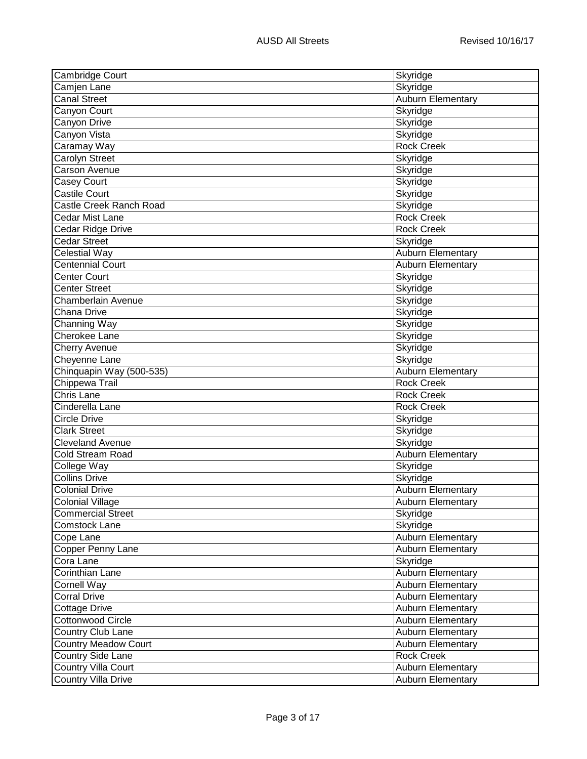| <b>Cambridge Court</b>      | Skyridge                                      |
|-----------------------------|-----------------------------------------------|
| Camjen Lane                 | Skyridge                                      |
| <b>Canal Street</b>         | Auburn Elementary                             |
| Canyon Court                | Skyridge                                      |
| Canyon Drive                | Skyridge                                      |
| Canyon Vista                | Skyridge                                      |
| Caramay Way                 | <b>Rock Creek</b>                             |
| Carolyn Street              | Skyridge                                      |
| Carson Avenue               | Skyridge                                      |
| <b>Casey Court</b>          | Skyridge                                      |
| <b>Castile Court</b>        | Skyridge                                      |
| Castle Creek Ranch Road     | Skyridge                                      |
| Cedar Mist Lane             | <b>Rock Creek</b>                             |
| Cedar Ridge Drive           | <b>Rock Creek</b>                             |
| <b>Cedar Street</b>         | Skyridge                                      |
| Celestial Way               | Auburn Elementary                             |
| <b>Centennial Court</b>     | <b>Auburn Elementary</b>                      |
| Center Court                | Skyridge                                      |
| <b>Center Street</b>        | Skyridge                                      |
| Chamberlain Avenue          | Skyridge                                      |
| Chana Drive                 | Skyridge                                      |
| Channing Way                | Skyridge                                      |
| Cherokee Lane               | Skyridge                                      |
| Cherry Avenue               | Skyridge                                      |
| Cheyenne Lane               | Skyridge                                      |
| Chinquapin Way (500-535)    | Auburn Elementary                             |
| Chippewa Trail              | <b>Rock Creek</b>                             |
| <b>Chris Lane</b>           | <b>Rock Creek</b>                             |
| Cinderella Lane             | <b>Rock Creek</b>                             |
| <b>Circle Drive</b>         | Skyridge                                      |
| <b>Clark Street</b>         | Skyridge                                      |
| <b>Cleveland Avenue</b>     | Skyridge                                      |
| Cold Stream Road            | <b>Auburn Elementary</b>                      |
| College Way                 | Skyridge                                      |
| Collins Drive               | Skyridge                                      |
| <b>Colonial Drive</b>       | <b>Auburn Elementary</b>                      |
| <b>Colonial Village</b>     | Auburn Elementary                             |
| <b>Commercial Street</b>    | Skyridge                                      |
| Comstock Lane               | Skyridge                                      |
| Cope Lane                   | Auburn Elementary                             |
| Copper Penny Lane           | Auburn Elementary                             |
| Cora Lane                   | Skyridge                                      |
| Corinthian Lane             |                                               |
|                             | Auburn Elementary<br><b>Auburn Elementary</b> |
| <b>Cornell Way</b>          |                                               |
| <b>Corral Drive</b>         | <b>Auburn Elementary</b>                      |
| <b>Cottage Drive</b>        | <b>Auburn Elementary</b>                      |
| <b>Cottonwood Circle</b>    | Auburn Elementary                             |
| <b>Country Club Lane</b>    | Auburn Elementary                             |
| <b>Country Meadow Court</b> | Auburn Elementary                             |
| <b>Country Side Lane</b>    | <b>Rock Creek</b>                             |
| <b>Country Villa Court</b>  | <b>Auburn Elementary</b>                      |
| <b>Country Villa Drive</b>  | <b>Auburn Elementary</b>                      |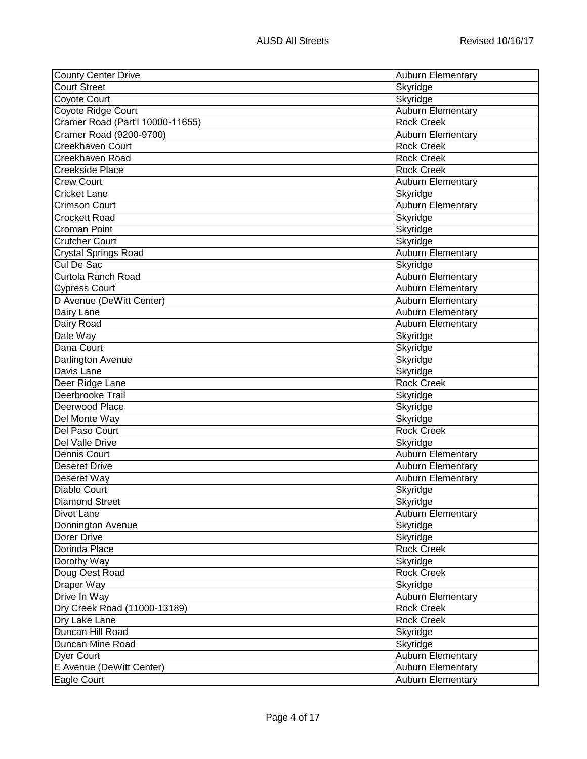| <b>County Center Drive</b>       | <b>Auburn Elementary</b> |
|----------------------------------|--------------------------|
| <b>Court Street</b>              | Skyridge                 |
| <b>Coyote Court</b>              | Skyridge                 |
| Coyote Ridge Court               | <b>Auburn Elementary</b> |
| Cramer Road (Part'l 10000-11655) | <b>Rock Creek</b>        |
| Cramer Road (9200-9700)          | <b>Auburn Elementary</b> |
| <b>Creekhaven Court</b>          | <b>Rock Creek</b>        |
| <b>Creekhaven Road</b>           | <b>Rock Creek</b>        |
| Creekside Place                  | <b>Rock Creek</b>        |
| <b>Crew Court</b>                | <b>Auburn Elementary</b> |
| <b>Cricket Lane</b>              | Skyridge                 |
| Crimson Court                    | Auburn Elementary        |
| Crockett Road                    | Skyridge                 |
| Croman Point                     | Skyridge                 |
| <b>Crutcher Court</b>            | Skyridge                 |
| <b>Crystal Springs Road</b>      | <b>Auburn Elementary</b> |
| Cul De Sac                       | Skyridge                 |
| Curtola Ranch Road               | <b>Auburn Elementary</b> |
| <b>Cypress Court</b>             | <b>Auburn Elementary</b> |
| D Avenue (DeWitt Center)         | <b>Auburn Elementary</b> |
| Dairy Lane                       | <b>Auburn Elementary</b> |
| Dairy Road                       | <b>Auburn Elementary</b> |
| Dale Way                         | Skyridge                 |
| Dana Court                       | Skyridge                 |
| <b>Darlington Avenue</b>         | Skyridge                 |
| Davis Lane                       | Skyridge                 |
| Deer Ridge Lane                  | <b>Rock Creek</b>        |
| Deerbrooke Trail                 | Skyridge                 |
| Deerwood Place                   | Skyridge                 |
| Del Monte Way                    | Skyridge                 |
| Del Paso Court                   | <b>Rock Creek</b>        |
| Del Valle Drive                  | Skyridge                 |
| Dennis Court                     | Auburn Elementary        |
| Deseret Drive                    | <b>Auburn Elementary</b> |
| Deseret Way                      | <b>Auburn Elementary</b> |
| Diablo Court                     | Skyridge                 |
| <b>Diamond Street</b>            | Skyridge                 |
| Divot Lane                       | Auburn Elementary        |
| Donnington Avenue                | Skyridge                 |
| Dorer Drive                      | Skyridge                 |
| Dorinda Place                    | <b>Rock Creek</b>        |
| Dorothy Way                      | Skyridge                 |
| Doug Oest Road                   | <b>Rock Creek</b>        |
| Draper Way                       | Skyridge                 |
| Drive In Way                     | Auburn Elementary        |
| Dry Creek Road (11000-13189)     | <b>Rock Creek</b>        |
| Dry Lake Lane                    | <b>Rock Creek</b>        |
| Duncan Hill Road                 | Skyridge                 |
| Duncan Mine Road                 | Skyridge                 |
| <b>Dyer Court</b>                | Auburn Elementary        |
| E Avenue (DeWitt Center)         | <b>Auburn Elementary</b> |
| Eagle Court                      | <b>Auburn Elementary</b> |
|                                  |                          |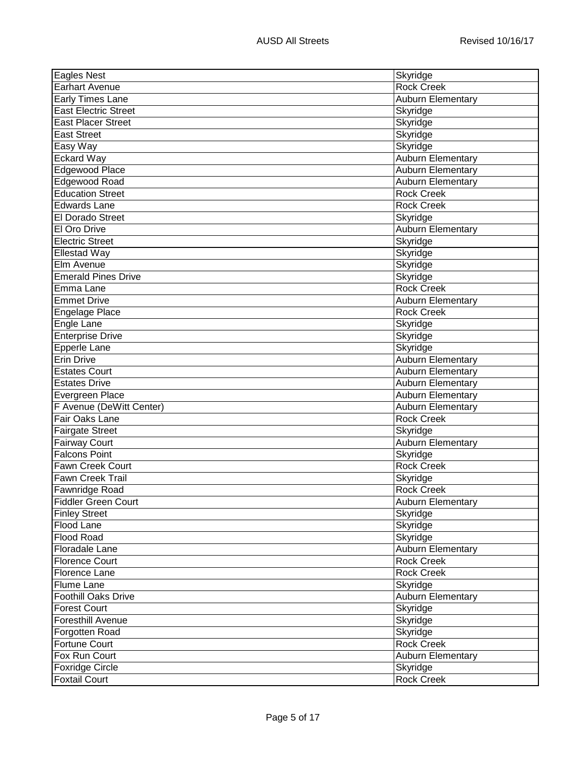| <b>Eagles Nest</b>                           | Skyridge                 |
|----------------------------------------------|--------------------------|
| <b>Earhart Avenue</b>                        | <b>Rock Creek</b>        |
| <b>Early Times Lane</b>                      | <b>Auburn Elementary</b> |
| <b>East Electric Street</b>                  | Skyridge                 |
| <b>East Placer Street</b>                    | Skyridge                 |
| <b>East Street</b>                           | Skyridge                 |
| Easy Way                                     | Skyridge                 |
| <b>Eckard Way</b>                            | Auburn Elementary        |
| Edgewood Place                               | <b>Auburn Elementary</b> |
| Edgewood Road                                | Auburn Elementary        |
| <b>Education Street</b>                      | <b>Rock Creek</b>        |
| Edwards Lane                                 | <b>Rock Creek</b>        |
| <b>El Dorado Street</b>                      | Skyridge                 |
| El Oro Drive                                 | Auburn Elementary        |
| <b>Electric Street</b>                       | Skyridge                 |
| <b>Ellestad Way</b>                          | Skyridge                 |
| <b>Elm Avenue</b>                            | Skyridge                 |
| <b>Emerald Pines Drive</b>                   | Skyridge                 |
| Emma Lane                                    | <b>Rock Creek</b>        |
| <b>Emmet Drive</b>                           | <b>Auburn Elementary</b> |
| Engelage Place                               | <b>Rock Creek</b>        |
| Engle Lane                                   | Skyridge                 |
| <b>Enterprise Drive</b>                      | Skyridge                 |
| Epperle Lane                                 | Skyridge                 |
| <b>Erin Drive</b>                            | Auburn Elementary        |
| <b>Estates Court</b>                         | <b>Auburn Elementary</b> |
| <b>Estates Drive</b>                         | Auburn Elementary        |
| Evergreen Place                              | Auburn Elementary        |
| F Avenue (DeWitt Center)                     | <b>Auburn Elementary</b> |
| Fair Oaks Lane                               | <b>Rock Creek</b>        |
|                                              | Skyridge                 |
| <b>Fairgate Street</b>                       | Auburn Elementary        |
| <b>Fairway Court</b><br><b>Falcons Point</b> | Skyridge                 |
| <b>Fawn Creek Court</b>                      | <b>Rock Creek</b>        |
| <b>Fawn Creek Trail</b>                      | Skyridge                 |
|                                              | Rock Creek               |
| Fawnridge Road                               |                          |
| <b>Fiddler Green Court</b>                   | <b>Auburn Elementary</b> |
| <b>Finley Street</b>                         | Skyridge                 |
| Flood Lane                                   | Skyridge                 |
| <b>Flood Road</b>                            | Skyridge                 |
| <b>Floradale Lane</b>                        | Auburn Elementary        |
| <b>Florence Court</b>                        | <b>Rock Creek</b>        |
| <b>Florence Lane</b>                         | <b>Rock Creek</b>        |
| Flume Lane                                   | Skyridge                 |
| Foothill Oaks Drive                          | Auburn Elementary        |
| <b>Forest Court</b>                          | Skyridge                 |
| Foresthill Avenue                            | Skyridge                 |
| Forgotten Road                               | Skyridge                 |
| <b>Fortune Court</b>                         | <b>Rock Creek</b>        |
| Fox Run Court                                | <b>Auburn Elementary</b> |
| <b>Foxridge Circle</b>                       | Skyridge                 |
| <b>Foxtail Court</b>                         | <b>Rock Creek</b>        |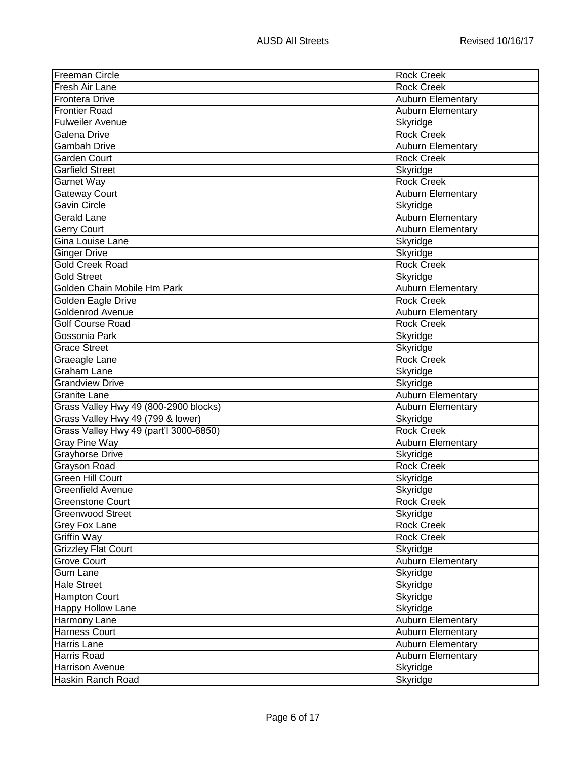| <b>Freeman Circle</b>                  | <b>Rock Creek</b>        |
|----------------------------------------|--------------------------|
| Fresh Air Lane                         | <b>Rock Creek</b>        |
| <b>Frontera Drive</b>                  | Auburn Elementary        |
| <b>Frontier Road</b>                   | <b>Auburn Elementary</b> |
| <b>Fulweiler Avenue</b>                | Skyridge                 |
| Galena Drive                           | <b>Rock Creek</b>        |
| <b>Gambah Drive</b>                    | <b>Auburn Elementary</b> |
| Garden Court                           | <b>Rock Creek</b>        |
| <b>Garfield Street</b>                 | Skyridge                 |
| Garnet Way                             | <b>Rock Creek</b>        |
| <b>Gateway Court</b>                   | <b>Auburn Elementary</b> |
| <b>Gavin Circle</b>                    | Skyridge                 |
| <b>Gerald Lane</b>                     | Auburn Elementary        |
| <b>Gerry Court</b>                     | Auburn Elementary        |
| Gina Louise Lane                       | Skyridge                 |
| <b>Ginger Drive</b>                    | Skyridge                 |
| <b>Gold Creek Road</b>                 | <b>Rock Creek</b>        |
| <b>Gold Street</b>                     | Skyridge                 |
| Golden Chain Mobile Hm Park            | <b>Auburn Elementary</b> |
| Golden Eagle Drive                     | <b>Rock Creek</b>        |
| <b>Goldenrod Avenue</b>                | <b>Auburn Elementary</b> |
| <b>Golf Course Road</b>                | <b>Rock Creek</b>        |
| Gossonia Park                          | Skyridge                 |
| <b>Grace Street</b>                    | Skyridge                 |
| Graeagle Lane                          | <b>Rock Creek</b>        |
| <b>Graham Lane</b>                     | Skyridge                 |
| <b>Grandview Drive</b>                 | Skyridge                 |
| Granite Lane                           | Auburn Elementary        |
| Grass Valley Hwy 49 (800-2900 blocks)  | <b>Auburn Elementary</b> |
| Grass Valley Hwy 49 (799 & lower)      | Skyridge                 |
| Grass Valley Hwy 49 (part'l 3000-6850) | <b>Rock Creek</b>        |
| Gray Pine Way                          | <b>Auburn Elementary</b> |
| <b>Grayhorse Drive</b>                 | Skyridge                 |
| Grayson Road                           | <b>Rock Creek</b>        |
| Green Hill Court                       | Skyridge                 |
| <b>Greenfield Avenue</b>               | Skyridge                 |
| Greenstone Court                       | Rock Creek               |
| <b>Greenwood Street</b>                | Skyridge                 |
| Grey Fox Lane                          | <b>Rock Creek</b>        |
| Griffin Way                            | <b>Rock Creek</b>        |
| <b>Grizzley Flat Court</b>             | Skyridge                 |
| <b>Grove Court</b>                     | Auburn Elementary        |
| <b>Gum Lane</b>                        | Skyridge                 |
| <b>Hale Street</b>                     | Skyridge                 |
| Hampton Court                          | Skyridge                 |
| <b>Happy Hollow Lane</b>               | Skyridge                 |
| Harmony Lane                           | Auburn Elementary        |
| <b>Harness Court</b>                   | <b>Auburn Elementary</b> |
| Harris Lane                            | <b>Auburn Elementary</b> |
| Harris Road                            | <b>Auburn Elementary</b> |
| <b>Harrison Avenue</b>                 | Skyridge                 |
| Haskin Ranch Road                      | Skyridge                 |
|                                        |                          |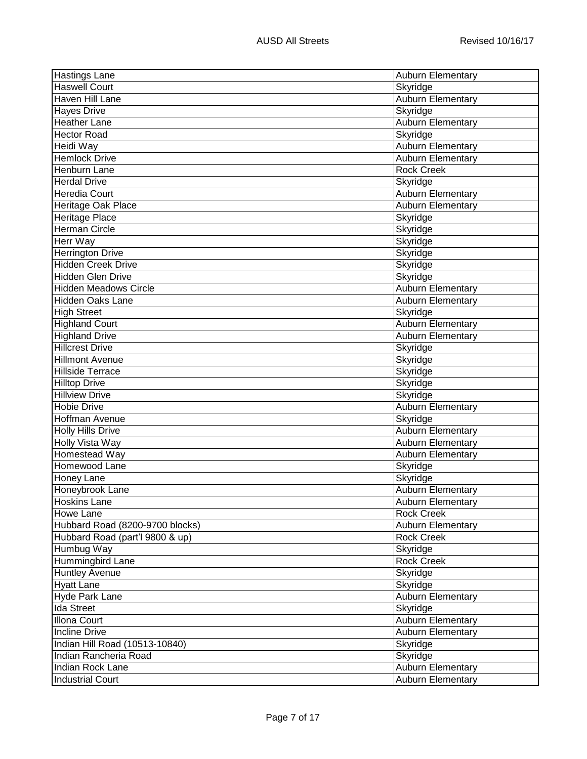| <b>Hastings Lane</b>            | <b>Auburn Elementary</b> |
|---------------------------------|--------------------------|
| <b>Haswell Court</b>            | Skyridge                 |
| <b>Haven Hill Lane</b>          | Auburn Elementary        |
| <b>Hayes Drive</b>              | Skyridge                 |
| <b>Heather Lane</b>             | <b>Auburn Elementary</b> |
| <b>Hector Road</b>              | Skyridge                 |
| Heidi Way                       | <b>Auburn Elementary</b> |
| Hemlock Drive                   | Auburn Elementary        |
| Henburn Lane                    | <b>Rock Creek</b>        |
| <b>Herdal Drive</b>             | Skyridge                 |
| Heredia Court                   | Auburn Elementary        |
| Heritage Oak Place              | Auburn Elementary        |
| <b>Heritage Place</b>           | Skyridge                 |
| Herman Circle                   | Skyridge                 |
| <b>Herr Way</b>                 | Skyridge                 |
| <b>Herrington Drive</b>         | Skyridge                 |
| <b>Hidden Creek Drive</b>       | Skyridge                 |
| <b>Hidden Glen Drive</b>        | Skyridge                 |
| <b>Hidden Meadows Circle</b>    | Auburn Elementary        |
| <b>Hidden Oaks Lane</b>         | Auburn Elementary        |
| <b>High Street</b>              | Skyridge                 |
| <b>Highland Court</b>           | Auburn Elementary        |
| <b>Highland Drive</b>           | <b>Auburn Elementary</b> |
| <b>Hillcrest Drive</b>          | Skyridge                 |
| <b>Hillmont Avenue</b>          | Skyridge                 |
| Hillside Terrace                | Skyridge                 |
| <b>Hilltop Drive</b>            | Skyridge                 |
| <b>Hillview Drive</b>           | Skyridge                 |
| Hobie Drive                     | Auburn Elementary        |
| Hoffman Avenue                  | Skyridge                 |
| <b>Holly Hills Drive</b>        | Auburn Elementary        |
| <b>Holly Vista Way</b>          | <b>Auburn Elementary</b> |
| Homestead Way                   | <b>Auburn Elementary</b> |
| Homewood Lane                   | Skyridge                 |
| <b>Honey Lane</b>               | Skyridge                 |
| Honeybrook Lane                 | Auburn Elementary        |
| <b>Hoskins Lane</b>             | <b>Auburn Elementary</b> |
| <b>Howe Lane</b>                | <b>Rock Creek</b>        |
| Hubbard Road (8200-9700 blocks) | <b>Auburn Elementary</b> |
| Hubbard Road (part'l 9800 & up) | Rock Creek               |
| Humbug Way                      | Skyridge                 |
| Hummingbird Lane                | <b>Rock Creek</b>        |
| <b>Huntley Avenue</b>           | Skyridge                 |
| <b>Hyatt Lane</b>               | Skyridge                 |
| Hyde Park Lane                  | Auburn Elementary        |
| Ida Street                      | Skyridge                 |
| <b>Illona Court</b>             | Auburn Elementary        |
| <b>Incline Drive</b>            | Auburn Elementary        |
| Indian Hill Road (10513-10840)  | Skyridge                 |
| Indian Rancheria Road           | Skyridge                 |
| Indian Rock Lane                | Auburn Elementary        |
| <b>Industrial Court</b>         | <b>Auburn Elementary</b> |
|                                 |                          |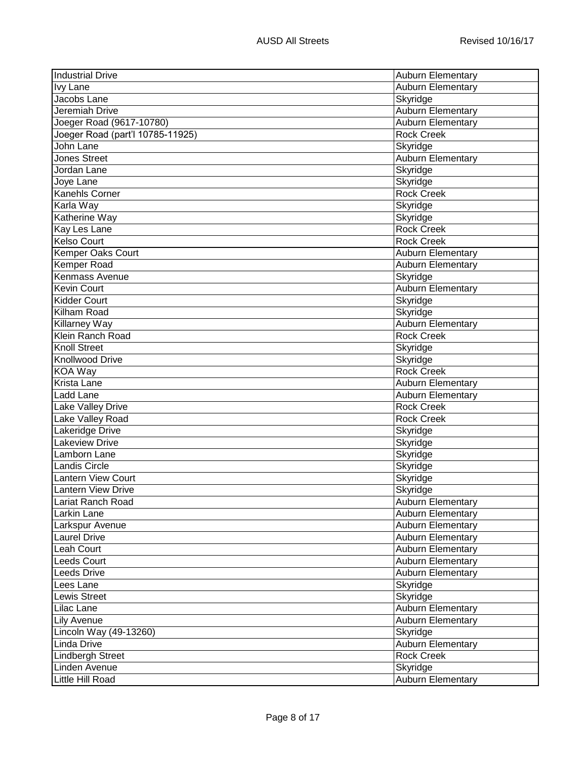| <b>Auburn Elementary</b><br>Skyridge<br>Jacobs Lane<br>Auburn Elementary<br>Jeremiah Drive<br>Joeger Road (9617-10780)<br><b>Auburn Elementary</b><br>Joeger Road (part'l 10785-11925)<br><b>Rock Creek</b><br>John Lane<br>Skyridge<br><b>Jones Street</b><br>Auburn Elementary<br>Jordan Lane<br>Skyridge<br>Joye Lane<br>Skyridge<br><b>Rock Creek</b><br>Karla Way<br>Skyridge<br>Katherine Way<br>Skyridge<br>Kay Les Lane<br><b>Rock Creek</b><br><b>Rock Creek</b><br>Kemper Oaks Court<br>Auburn Elementary<br><b>Auburn Elementary</b><br>Kenmass Avenue<br>Skyridge<br><b>Auburn Elementary</b><br>Skyridge<br>Skyridge<br><b>Killarney Way</b><br><b>Auburn Elementary</b><br><b>Rock Creek</b><br>Skyridge<br>Knollwood Drive<br>Skyridge<br>KOA Way<br><b>Rock Creek</b><br><b>Auburn Elementary</b><br>Ladd Lane<br><b>Auburn Elementary</b><br>Lake Valley Drive<br><b>Rock Creek</b><br>Lake Valley Road<br><b>Rock Creek</b><br>Lakeridge Drive<br>Skyridge<br><b>Lakeview Drive</b><br>Skyridge<br>Skyridge<br>Skyridge<br>Skyridge<br>Skyridge<br>Lariat Ranch Road<br>Auburn Elementary<br>Larkin Lane<br><b>Auburn Elementary</b><br><b>Auburn Elementary</b><br><b>Auburn Elementary</b><br><b>Auburn Elementary</b><br>Auburn Elementary<br>Leeds Drive<br>Auburn Elementary<br>Lees Lane<br>Skyridge<br>Lewis Street<br>Skyridge<br>Lilac Lane<br>Auburn Elementary<br><b>Lily Avenue</b><br><b>Auburn Elementary</b><br>Lincoln Way (49-13260)<br>Skyridge<br>Auburn Elementary<br><b>Lindbergh Street</b><br><b>Rock Creek</b><br>Linden Avenue<br>Skyridge<br><b>Auburn Elementary</b> | <b>Industrial Drive</b>   | <b>Auburn Elementary</b> |
|-------------------------------------------------------------------------------------------------------------------------------------------------------------------------------------------------------------------------------------------------------------------------------------------------------------------------------------------------------------------------------------------------------------------------------------------------------------------------------------------------------------------------------------------------------------------------------------------------------------------------------------------------------------------------------------------------------------------------------------------------------------------------------------------------------------------------------------------------------------------------------------------------------------------------------------------------------------------------------------------------------------------------------------------------------------------------------------------------------------------------------------------------------------------------------------------------------------------------------------------------------------------------------------------------------------------------------------------------------------------------------------------------------------------------------------------------------------------------------------------------------------------------------------------------------------------------------------------------------------------|---------------------------|--------------------------|
|                                                                                                                                                                                                                                                                                                                                                                                                                                                                                                                                                                                                                                                                                                                                                                                                                                                                                                                                                                                                                                                                                                                                                                                                                                                                                                                                                                                                                                                                                                                                                                                                                   | <b>Ivy Lane</b>           |                          |
|                                                                                                                                                                                                                                                                                                                                                                                                                                                                                                                                                                                                                                                                                                                                                                                                                                                                                                                                                                                                                                                                                                                                                                                                                                                                                                                                                                                                                                                                                                                                                                                                                   |                           |                          |
|                                                                                                                                                                                                                                                                                                                                                                                                                                                                                                                                                                                                                                                                                                                                                                                                                                                                                                                                                                                                                                                                                                                                                                                                                                                                                                                                                                                                                                                                                                                                                                                                                   |                           |                          |
|                                                                                                                                                                                                                                                                                                                                                                                                                                                                                                                                                                                                                                                                                                                                                                                                                                                                                                                                                                                                                                                                                                                                                                                                                                                                                                                                                                                                                                                                                                                                                                                                                   |                           |                          |
|                                                                                                                                                                                                                                                                                                                                                                                                                                                                                                                                                                                                                                                                                                                                                                                                                                                                                                                                                                                                                                                                                                                                                                                                                                                                                                                                                                                                                                                                                                                                                                                                                   |                           |                          |
|                                                                                                                                                                                                                                                                                                                                                                                                                                                                                                                                                                                                                                                                                                                                                                                                                                                                                                                                                                                                                                                                                                                                                                                                                                                                                                                                                                                                                                                                                                                                                                                                                   |                           |                          |
|                                                                                                                                                                                                                                                                                                                                                                                                                                                                                                                                                                                                                                                                                                                                                                                                                                                                                                                                                                                                                                                                                                                                                                                                                                                                                                                                                                                                                                                                                                                                                                                                                   |                           |                          |
|                                                                                                                                                                                                                                                                                                                                                                                                                                                                                                                                                                                                                                                                                                                                                                                                                                                                                                                                                                                                                                                                                                                                                                                                                                                                                                                                                                                                                                                                                                                                                                                                                   |                           |                          |
|                                                                                                                                                                                                                                                                                                                                                                                                                                                                                                                                                                                                                                                                                                                                                                                                                                                                                                                                                                                                                                                                                                                                                                                                                                                                                                                                                                                                                                                                                                                                                                                                                   |                           |                          |
|                                                                                                                                                                                                                                                                                                                                                                                                                                                                                                                                                                                                                                                                                                                                                                                                                                                                                                                                                                                                                                                                                                                                                                                                                                                                                                                                                                                                                                                                                                                                                                                                                   | Kanehls Corner            |                          |
|                                                                                                                                                                                                                                                                                                                                                                                                                                                                                                                                                                                                                                                                                                                                                                                                                                                                                                                                                                                                                                                                                                                                                                                                                                                                                                                                                                                                                                                                                                                                                                                                                   |                           |                          |
|                                                                                                                                                                                                                                                                                                                                                                                                                                                                                                                                                                                                                                                                                                                                                                                                                                                                                                                                                                                                                                                                                                                                                                                                                                                                                                                                                                                                                                                                                                                                                                                                                   |                           |                          |
|                                                                                                                                                                                                                                                                                                                                                                                                                                                                                                                                                                                                                                                                                                                                                                                                                                                                                                                                                                                                                                                                                                                                                                                                                                                                                                                                                                                                                                                                                                                                                                                                                   |                           |                          |
|                                                                                                                                                                                                                                                                                                                                                                                                                                                                                                                                                                                                                                                                                                                                                                                                                                                                                                                                                                                                                                                                                                                                                                                                                                                                                                                                                                                                                                                                                                                                                                                                                   | <b>Kelso Court</b>        |                          |
|                                                                                                                                                                                                                                                                                                                                                                                                                                                                                                                                                                                                                                                                                                                                                                                                                                                                                                                                                                                                                                                                                                                                                                                                                                                                                                                                                                                                                                                                                                                                                                                                                   |                           |                          |
|                                                                                                                                                                                                                                                                                                                                                                                                                                                                                                                                                                                                                                                                                                                                                                                                                                                                                                                                                                                                                                                                                                                                                                                                                                                                                                                                                                                                                                                                                                                                                                                                                   | <b>Kemper Road</b>        |                          |
|                                                                                                                                                                                                                                                                                                                                                                                                                                                                                                                                                                                                                                                                                                                                                                                                                                                                                                                                                                                                                                                                                                                                                                                                                                                                                                                                                                                                                                                                                                                                                                                                                   |                           |                          |
|                                                                                                                                                                                                                                                                                                                                                                                                                                                                                                                                                                                                                                                                                                                                                                                                                                                                                                                                                                                                                                                                                                                                                                                                                                                                                                                                                                                                                                                                                                                                                                                                                   | <b>Kevin Court</b>        |                          |
|                                                                                                                                                                                                                                                                                                                                                                                                                                                                                                                                                                                                                                                                                                                                                                                                                                                                                                                                                                                                                                                                                                                                                                                                                                                                                                                                                                                                                                                                                                                                                                                                                   | <b>Kidder Court</b>       |                          |
|                                                                                                                                                                                                                                                                                                                                                                                                                                                                                                                                                                                                                                                                                                                                                                                                                                                                                                                                                                                                                                                                                                                                                                                                                                                                                                                                                                                                                                                                                                                                                                                                                   | Kilham Road               |                          |
|                                                                                                                                                                                                                                                                                                                                                                                                                                                                                                                                                                                                                                                                                                                                                                                                                                                                                                                                                                                                                                                                                                                                                                                                                                                                                                                                                                                                                                                                                                                                                                                                                   |                           |                          |
|                                                                                                                                                                                                                                                                                                                                                                                                                                                                                                                                                                                                                                                                                                                                                                                                                                                                                                                                                                                                                                                                                                                                                                                                                                                                                                                                                                                                                                                                                                                                                                                                                   | Klein Ranch Road          |                          |
|                                                                                                                                                                                                                                                                                                                                                                                                                                                                                                                                                                                                                                                                                                                                                                                                                                                                                                                                                                                                                                                                                                                                                                                                                                                                                                                                                                                                                                                                                                                                                                                                                   | <b>Knoll Street</b>       |                          |
|                                                                                                                                                                                                                                                                                                                                                                                                                                                                                                                                                                                                                                                                                                                                                                                                                                                                                                                                                                                                                                                                                                                                                                                                                                                                                                                                                                                                                                                                                                                                                                                                                   |                           |                          |
|                                                                                                                                                                                                                                                                                                                                                                                                                                                                                                                                                                                                                                                                                                                                                                                                                                                                                                                                                                                                                                                                                                                                                                                                                                                                                                                                                                                                                                                                                                                                                                                                                   |                           |                          |
|                                                                                                                                                                                                                                                                                                                                                                                                                                                                                                                                                                                                                                                                                                                                                                                                                                                                                                                                                                                                                                                                                                                                                                                                                                                                                                                                                                                                                                                                                                                                                                                                                   | Krista Lane               |                          |
|                                                                                                                                                                                                                                                                                                                                                                                                                                                                                                                                                                                                                                                                                                                                                                                                                                                                                                                                                                                                                                                                                                                                                                                                                                                                                                                                                                                                                                                                                                                                                                                                                   |                           |                          |
|                                                                                                                                                                                                                                                                                                                                                                                                                                                                                                                                                                                                                                                                                                                                                                                                                                                                                                                                                                                                                                                                                                                                                                                                                                                                                                                                                                                                                                                                                                                                                                                                                   |                           |                          |
|                                                                                                                                                                                                                                                                                                                                                                                                                                                                                                                                                                                                                                                                                                                                                                                                                                                                                                                                                                                                                                                                                                                                                                                                                                                                                                                                                                                                                                                                                                                                                                                                                   |                           |                          |
|                                                                                                                                                                                                                                                                                                                                                                                                                                                                                                                                                                                                                                                                                                                                                                                                                                                                                                                                                                                                                                                                                                                                                                                                                                                                                                                                                                                                                                                                                                                                                                                                                   |                           |                          |
|                                                                                                                                                                                                                                                                                                                                                                                                                                                                                                                                                                                                                                                                                                                                                                                                                                                                                                                                                                                                                                                                                                                                                                                                                                                                                                                                                                                                                                                                                                                                                                                                                   |                           |                          |
|                                                                                                                                                                                                                                                                                                                                                                                                                                                                                                                                                                                                                                                                                                                                                                                                                                                                                                                                                                                                                                                                                                                                                                                                                                                                                                                                                                                                                                                                                                                                                                                                                   | Lamborn Lane              |                          |
|                                                                                                                                                                                                                                                                                                                                                                                                                                                                                                                                                                                                                                                                                                                                                                                                                                                                                                                                                                                                                                                                                                                                                                                                                                                                                                                                                                                                                                                                                                                                                                                                                   | Landis Circle             |                          |
|                                                                                                                                                                                                                                                                                                                                                                                                                                                                                                                                                                                                                                                                                                                                                                                                                                                                                                                                                                                                                                                                                                                                                                                                                                                                                                                                                                                                                                                                                                                                                                                                                   | Lantern View Court        |                          |
|                                                                                                                                                                                                                                                                                                                                                                                                                                                                                                                                                                                                                                                                                                                                                                                                                                                                                                                                                                                                                                                                                                                                                                                                                                                                                                                                                                                                                                                                                                                                                                                                                   | <b>Lantern View Drive</b> |                          |
|                                                                                                                                                                                                                                                                                                                                                                                                                                                                                                                                                                                                                                                                                                                                                                                                                                                                                                                                                                                                                                                                                                                                                                                                                                                                                                                                                                                                                                                                                                                                                                                                                   |                           |                          |
|                                                                                                                                                                                                                                                                                                                                                                                                                                                                                                                                                                                                                                                                                                                                                                                                                                                                                                                                                                                                                                                                                                                                                                                                                                                                                                                                                                                                                                                                                                                                                                                                                   |                           |                          |
|                                                                                                                                                                                                                                                                                                                                                                                                                                                                                                                                                                                                                                                                                                                                                                                                                                                                                                                                                                                                                                                                                                                                                                                                                                                                                                                                                                                                                                                                                                                                                                                                                   | Larkspur Avenue           |                          |
|                                                                                                                                                                                                                                                                                                                                                                                                                                                                                                                                                                                                                                                                                                                                                                                                                                                                                                                                                                                                                                                                                                                                                                                                                                                                                                                                                                                                                                                                                                                                                                                                                   | <b>Laurel Drive</b>       |                          |
|                                                                                                                                                                                                                                                                                                                                                                                                                                                                                                                                                                                                                                                                                                                                                                                                                                                                                                                                                                                                                                                                                                                                                                                                                                                                                                                                                                                                                                                                                                                                                                                                                   | Leah Court                |                          |
|                                                                                                                                                                                                                                                                                                                                                                                                                                                                                                                                                                                                                                                                                                                                                                                                                                                                                                                                                                                                                                                                                                                                                                                                                                                                                                                                                                                                                                                                                                                                                                                                                   | <b>Leeds Court</b>        |                          |
|                                                                                                                                                                                                                                                                                                                                                                                                                                                                                                                                                                                                                                                                                                                                                                                                                                                                                                                                                                                                                                                                                                                                                                                                                                                                                                                                                                                                                                                                                                                                                                                                                   |                           |                          |
|                                                                                                                                                                                                                                                                                                                                                                                                                                                                                                                                                                                                                                                                                                                                                                                                                                                                                                                                                                                                                                                                                                                                                                                                                                                                                                                                                                                                                                                                                                                                                                                                                   |                           |                          |
|                                                                                                                                                                                                                                                                                                                                                                                                                                                                                                                                                                                                                                                                                                                                                                                                                                                                                                                                                                                                                                                                                                                                                                                                                                                                                                                                                                                                                                                                                                                                                                                                                   |                           |                          |
|                                                                                                                                                                                                                                                                                                                                                                                                                                                                                                                                                                                                                                                                                                                                                                                                                                                                                                                                                                                                                                                                                                                                                                                                                                                                                                                                                                                                                                                                                                                                                                                                                   |                           |                          |
|                                                                                                                                                                                                                                                                                                                                                                                                                                                                                                                                                                                                                                                                                                                                                                                                                                                                                                                                                                                                                                                                                                                                                                                                                                                                                                                                                                                                                                                                                                                                                                                                                   |                           |                          |
|                                                                                                                                                                                                                                                                                                                                                                                                                                                                                                                                                                                                                                                                                                                                                                                                                                                                                                                                                                                                                                                                                                                                                                                                                                                                                                                                                                                                                                                                                                                                                                                                                   |                           |                          |
|                                                                                                                                                                                                                                                                                                                                                                                                                                                                                                                                                                                                                                                                                                                                                                                                                                                                                                                                                                                                                                                                                                                                                                                                                                                                                                                                                                                                                                                                                                                                                                                                                   | Linda Drive               |                          |
|                                                                                                                                                                                                                                                                                                                                                                                                                                                                                                                                                                                                                                                                                                                                                                                                                                                                                                                                                                                                                                                                                                                                                                                                                                                                                                                                                                                                                                                                                                                                                                                                                   |                           |                          |
|                                                                                                                                                                                                                                                                                                                                                                                                                                                                                                                                                                                                                                                                                                                                                                                                                                                                                                                                                                                                                                                                                                                                                                                                                                                                                                                                                                                                                                                                                                                                                                                                                   |                           |                          |
|                                                                                                                                                                                                                                                                                                                                                                                                                                                                                                                                                                                                                                                                                                                                                                                                                                                                                                                                                                                                                                                                                                                                                                                                                                                                                                                                                                                                                                                                                                                                                                                                                   | Little Hill Road          |                          |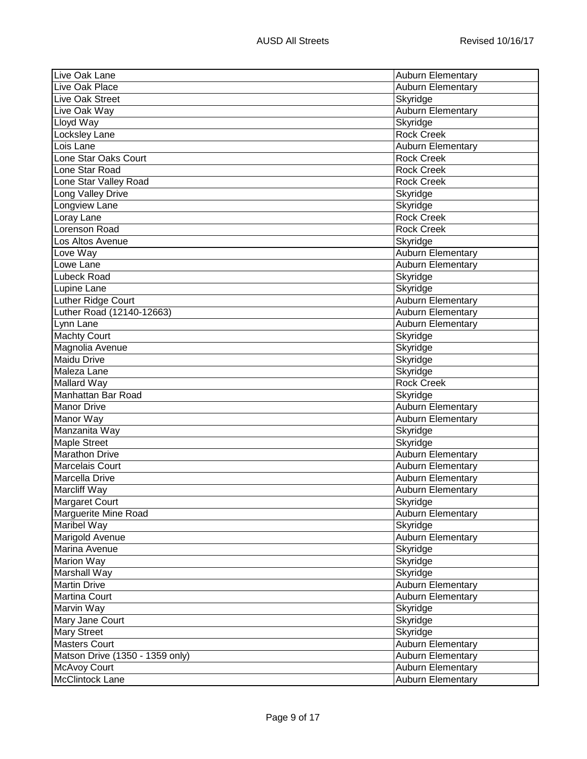| Live Oak Lane                   | <b>Auburn Elementary</b> |
|---------------------------------|--------------------------|
| Live Oak Place                  | <b>Auburn Elementary</b> |
| Live Oak Street                 | Skyridge                 |
| Live Oak Way                    | <b>Auburn Elementary</b> |
| Lloyd Way                       | Skyridge                 |
| Locksley Lane                   | <b>Rock Creek</b>        |
| Lois Lane                       | Auburn Elementary        |
| Lone Star Oaks Court            | <b>Rock Creek</b>        |
| Lone Star Road                  | <b>Rock Creek</b>        |
| Lone Star Valley Road           | <b>Rock Creek</b>        |
| Long Valley Drive               | Skyridge                 |
| Longview Lane                   | Skyridge                 |
| Loray Lane                      | <b>Rock Creek</b>        |
| Lorenson Road                   | <b>Rock Creek</b>        |
| Los Altos Avenue                | Skyridge                 |
| Love Way                        | <b>Auburn Elementary</b> |
| Lowe Lane                       | <b>Auburn Elementary</b> |
| <b>Lubeck Road</b>              | Skyridge                 |
| Lupine Lane                     | Skyridge                 |
| Luther Ridge Court              | Auburn Elementary        |
| Luther Road (12140-12663)       | Auburn Elementary        |
| Lynn Lane                       | Auburn Elementary        |
| <b>Machty Court</b>             | Skyridge                 |
| Magnolia Avenue                 | Skyridge                 |
| Maidu Drive                     | Skyridge                 |
| Maleza Lane                     | Skyridge                 |
| Mallard Way                     | <b>Rock Creek</b>        |
| Manhattan Bar Road              | Skyridge                 |
| <b>Manor Drive</b>              | Auburn Elementary        |
| Manor Way                       | <b>Auburn Elementary</b> |
| Manzanita Way                   | Skyridge                 |
| <b>Maple Street</b>             | Skyridge                 |
| <b>Marathon Drive</b>           | Auburn Elementary        |
| <b>Marcelais Court</b>          | <b>Auburn Elementary</b> |
| Marcella Drive                  | Auburn Elementary        |
| Marcliff Way                    | <b>Auburn Elementary</b> |
| Margaret Court                  | Skyridge                 |
| Marguerite Mine Road            | <b>Auburn Elementary</b> |
| Maribel Way                     | Skyridge                 |
| Marigold Avenue                 | Auburn Elementary        |
| Marina Avenue                   | Skyridge                 |
| Marion Way                      | Skyridge                 |
| Marshall Way                    | Skyridge                 |
| Martin Drive                    | <b>Auburn Elementary</b> |
| Martina Court                   | <b>Auburn Elementary</b> |
| Marvin Way                      | Skyridge                 |
| Mary Jane Court                 | Skyridge                 |
| <b>Mary Street</b>              | Skyridge                 |
| <b>Masters Court</b>            | <b>Auburn Elementary</b> |
| Matson Drive (1350 - 1359 only) | Auburn Elementary        |
| <b>McAvoy Court</b>             | <b>Auburn Elementary</b> |
| <b>McClintock Lane</b>          | Auburn Elementary        |
|                                 |                          |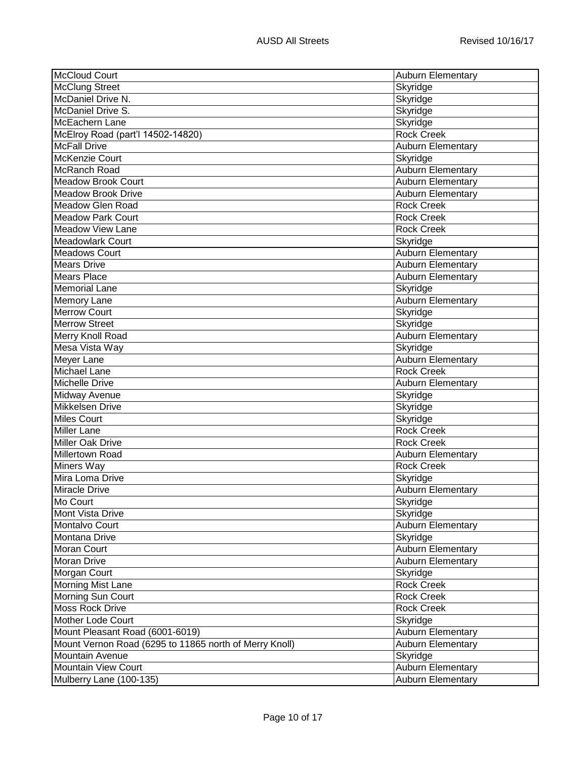| McCloud Court                                          | <b>Auburn Elementary</b> |
|--------------------------------------------------------|--------------------------|
| <b>McClung Street</b>                                  | Skyridge                 |
| McDaniel Drive N.                                      | Skyridge                 |
| McDaniel Drive S.                                      | Skyridge                 |
| McEachern Lane                                         | Skyridge                 |
| McElroy Road (part'l 14502-14820)                      | <b>Rock Creek</b>        |
| <b>McFall Drive</b>                                    | <b>Auburn Elementary</b> |
| McKenzie Court                                         | Skyridge                 |
| McRanch Road                                           | <b>Auburn Elementary</b> |
| <b>Meadow Brook Court</b>                              | Auburn Elementary        |
| <b>Meadow Brook Drive</b>                              | Auburn Elementary        |
| Meadow Glen Road                                       | <b>Rock Creek</b>        |
| <b>Meadow Park Court</b>                               | <b>Rock Creek</b>        |
| Meadow View Lane                                       | <b>Rock Creek</b>        |
| <b>Meadowlark Court</b>                                | Skyridge                 |
| <b>Meadows Court</b>                                   | Auburn Elementary        |
| <b>Mears Drive</b>                                     | Auburn Elementary        |
| <b>Mears Place</b>                                     | <b>Auburn Elementary</b> |
| <b>Memorial Lane</b>                                   | Skyridge                 |
| <b>Memory Lane</b>                                     | Auburn Elementary        |
| <b>Merrow Court</b>                                    | Skyridge                 |
| <b>Merrow Street</b>                                   | Skyridge                 |
| Merry Knoll Road                                       | <b>Auburn Elementary</b> |
| Mesa Vista Way                                         | Skyridge                 |
| Meyer Lane                                             | Auburn Elementary        |
| Michael Lane                                           | <b>Rock Creek</b>        |
| Michelle Drive                                         | Auburn Elementary        |
| Midway Avenue                                          | Skyridge                 |
| Mikkelsen Drive                                        | Skyridge                 |
| <b>Miles Court</b>                                     | Skyridge                 |
| <b>Miller Lane</b>                                     | <b>Rock Creek</b>        |
| <b>Miller Oak Drive</b>                                | <b>Rock Creek</b>        |
| Millertown Road                                        | Auburn Elementary        |
| Miners Way                                             | <b>Rock Creek</b>        |
| Mira Loma Drive                                        | Skyridge                 |
| <b>Miracle Drive</b>                                   | <b>Auburn Elementary</b> |
| Mo Court                                               | Skyridge                 |
| Mont Vista Drive                                       | Skyridge                 |
| Montalvo Court                                         | Auburn Elementary        |
| Montana Drive                                          | Skyridge                 |
| <b>Moran Court</b>                                     | Auburn Elementary        |
| <b>Moran Drive</b>                                     | Auburn Elementary        |
| Morgan Court                                           | Skyridge                 |
| Morning Mist Lane                                      | <b>Rock Creek</b>        |
| Morning Sun Court                                      | <b>Rock Creek</b>        |
| <b>Moss Rock Drive</b>                                 | <b>Rock Creek</b>        |
| <b>Mother Lode Court</b>                               |                          |
|                                                        | Skyridge                 |
| Mount Pleasant Road (6001-6019)                        | Auburn Elementary        |
| Mount Vernon Road (6295 to 11865 north of Merry Knoll) | <b>Auburn Elementary</b> |
| <b>Mountain Avenue</b>                                 | Skyridge                 |
| <b>Mountain View Court</b>                             | Auburn Elementary        |
| Mulberry Lane (100-135)                                | <b>Auburn Elementary</b> |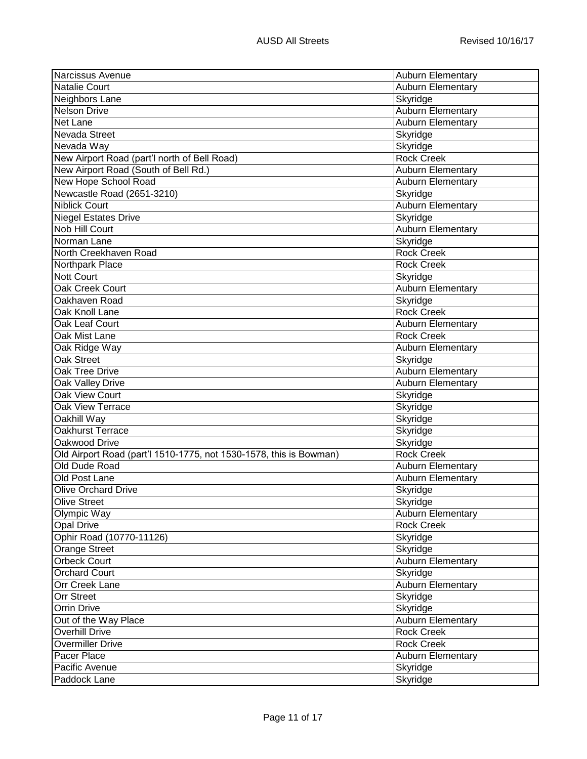| Narcissus Avenue                                                   | <b>Auburn Elementary</b> |
|--------------------------------------------------------------------|--------------------------|
| Natalie Court                                                      | <b>Auburn Elementary</b> |
| Neighbors Lane                                                     | Skyridge                 |
| <b>Nelson Drive</b>                                                | Auburn Elementary        |
| <b>Net Lane</b>                                                    | Auburn Elementary        |
| Nevada Street                                                      | Skyridge                 |
| Nevada Way                                                         | Skyridge                 |
| New Airport Road (part'l north of Bell Road)                       | <b>Rock Creek</b>        |
| New Airport Road (South of Bell Rd.)                               | <b>Auburn Elementary</b> |
| New Hope School Road                                               | Auburn Elementary        |
| Newcastle Road (2651-3210)                                         | Skyridge                 |
| <b>Niblick Court</b>                                               | Auburn Elementary        |
| Niegel Estates Drive                                               | Skyridge                 |
| <b>Nob Hill Court</b>                                              | Auburn Elementary        |
| Norman Lane                                                        | Skyridge                 |
| North Creekhaven Road                                              | <b>Rock Creek</b>        |
| Northpark Place                                                    | <b>Rock Creek</b>        |
| <b>Nott Court</b>                                                  | Skyridge                 |
| <b>Oak Creek Court</b>                                             | <b>Auburn Elementary</b> |
| Oakhaven Road                                                      | Skyridge                 |
| Oak Knoll Lane                                                     | <b>Rock Creek</b>        |
| Oak Leaf Court                                                     | <b>Auburn Elementary</b> |
| Oak Mist Lane                                                      | <b>Rock Creek</b>        |
| Oak Ridge Way                                                      | <b>Auburn Elementary</b> |
| Oak Street                                                         | Skyridge                 |
| <b>Oak Tree Drive</b>                                              | <b>Auburn Elementary</b> |
| Oak Valley Drive                                                   | <b>Auburn Elementary</b> |
| Oak View Court                                                     | Skyridge                 |
| <b>Oak View Terrace</b>                                            | Skyridge                 |
| Oakhill Way                                                        | Skyridge                 |
| Oakhurst Terrace                                                   | Skyridge                 |
| Oakwood Drive                                                      | Skyridge                 |
| Old Airport Road (part'l 1510-1775, not 1530-1578, this is Bowman) | <b>Rock Creek</b>        |
| Old Dude Road                                                      | <b>Auburn Elementary</b> |
| Old Post Lane                                                      | Auburn Elementary        |
| <b>Olive Orchard Drive</b>                                         | Skyridge                 |
| Olive Street                                                       | Skyridge                 |
|                                                                    |                          |
| Olympic Way<br>Opal Drive                                          | <b>Auburn Elementary</b> |
|                                                                    | <b>Rock Creek</b>        |
| Ophir Road (10770-11126)                                           | Skyridge                 |
| <b>Orange Street</b>                                               | Skyridge                 |
| <b>Orbeck Court</b>                                                | Auburn Elementary        |
| <b>Orchard Court</b>                                               | Skyridge                 |
| <b>Orr Creek Lane</b>                                              | Auburn Elementary        |
| <b>Orr Street</b>                                                  | Skyridge                 |
| <b>Orrin Drive</b>                                                 | Skyridge                 |
| Out of the Way Place                                               | Auburn Elementary        |
| <b>Overhill Drive</b>                                              | <b>Rock Creek</b>        |
| <b>Overmiller Drive</b>                                            | <b>Rock Creek</b>        |
| Pacer Place                                                        | Auburn Elementary        |
| Pacific Avenue                                                     | Skyridge                 |
| Paddock Lane                                                       | Skyridge                 |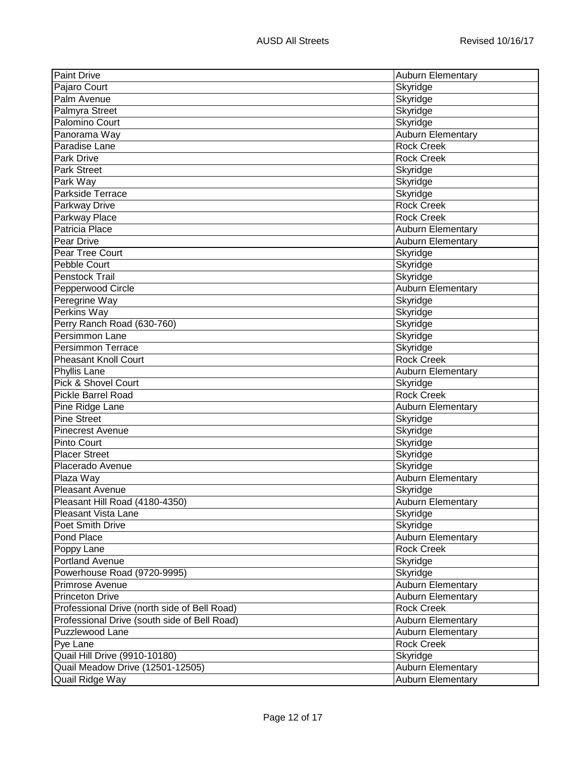| Skyridge<br>Skyridge<br>Skyridge<br>Skyridge<br>Panorama Way<br><b>Auburn Elementary</b><br><b>Rock Creek</b><br><b>Rock Creek</b><br>Skyridge<br>Skyridge<br>Skyridge<br><b>Rock Creek</b><br><b>Rock Creek</b><br>Auburn Elementary<br><b>Auburn Elementary</b><br>Skyridge<br>Skyridge<br><b>Pebble Court</b><br>Skyridge<br><b>Penstock Trail</b><br>Auburn Elementary<br>Pepperwood Circle<br>Peregrine Way<br>Skyridge<br>Skyridge<br>Skyridge<br>Skyridge<br>Skyridge<br><b>Rock Creek</b><br>Phyllis Lane<br><b>Auburn Elementary</b><br>Skyridge<br><b>Rock Creek</b><br>Auburn Elementary<br>Skyridge<br>Skyridge<br>Skyridge<br><b>Placer Street</b><br>Skyridge<br>Skyridge<br>Placerado Avenue<br><b>Auburn Elementary</b><br>Skyridge<br>Pleasant Hill Road (4180-4350)<br>Auburn Elementary<br>Skyridge<br>Skyridge<br>Auburn Elementary<br><b>Rock Creek</b><br>Poppy Lane<br>Skyridge<br>Powerhouse Road (9720-9995)<br>Skyridge<br>Auburn Elementary<br><b>Auburn Elementary</b><br><b>Rock Creek</b><br><b>Auburn Elementary</b><br><b>Auburn Elementary</b><br><b>Rock Creek</b><br>Quail Hill Drive (9910-10180)<br>Skyridge<br>Quail Meadow Drive (12501-12505)<br>Auburn Elementary<br>Quail Ridge Way<br><b>Auburn Elementary</b> | <b>Paint Drive</b>                           | <b>Auburn Elementary</b> |
|-----------------------------------------------------------------------------------------------------------------------------------------------------------------------------------------------------------------------------------------------------------------------------------------------------------------------------------------------------------------------------------------------------------------------------------------------------------------------------------------------------------------------------------------------------------------------------------------------------------------------------------------------------------------------------------------------------------------------------------------------------------------------------------------------------------------------------------------------------------------------------------------------------------------------------------------------------------------------------------------------------------------------------------------------------------------------------------------------------------------------------------------------------------------------------------------------------------------------------------------------------------|----------------------------------------------|--------------------------|
|                                                                                                                                                                                                                                                                                                                                                                                                                                                                                                                                                                                                                                                                                                                                                                                                                                                                                                                                                                                                                                                                                                                                                                                                                                                           | Pajaro Court                                 |                          |
|                                                                                                                                                                                                                                                                                                                                                                                                                                                                                                                                                                                                                                                                                                                                                                                                                                                                                                                                                                                                                                                                                                                                                                                                                                                           | Palm Avenue                                  |                          |
|                                                                                                                                                                                                                                                                                                                                                                                                                                                                                                                                                                                                                                                                                                                                                                                                                                                                                                                                                                                                                                                                                                                                                                                                                                                           | Palmyra Street                               |                          |
|                                                                                                                                                                                                                                                                                                                                                                                                                                                                                                                                                                                                                                                                                                                                                                                                                                                                                                                                                                                                                                                                                                                                                                                                                                                           | <b>Palomino Court</b>                        |                          |
|                                                                                                                                                                                                                                                                                                                                                                                                                                                                                                                                                                                                                                                                                                                                                                                                                                                                                                                                                                                                                                                                                                                                                                                                                                                           |                                              |                          |
|                                                                                                                                                                                                                                                                                                                                                                                                                                                                                                                                                                                                                                                                                                                                                                                                                                                                                                                                                                                                                                                                                                                                                                                                                                                           | Paradise Lane                                |                          |
|                                                                                                                                                                                                                                                                                                                                                                                                                                                                                                                                                                                                                                                                                                                                                                                                                                                                                                                                                                                                                                                                                                                                                                                                                                                           | <b>Park Drive</b>                            |                          |
|                                                                                                                                                                                                                                                                                                                                                                                                                                                                                                                                                                                                                                                                                                                                                                                                                                                                                                                                                                                                                                                                                                                                                                                                                                                           | <b>Park Street</b>                           |                          |
|                                                                                                                                                                                                                                                                                                                                                                                                                                                                                                                                                                                                                                                                                                                                                                                                                                                                                                                                                                                                                                                                                                                                                                                                                                                           | Park Way                                     |                          |
|                                                                                                                                                                                                                                                                                                                                                                                                                                                                                                                                                                                                                                                                                                                                                                                                                                                                                                                                                                                                                                                                                                                                                                                                                                                           | Parkside Terrace                             |                          |
|                                                                                                                                                                                                                                                                                                                                                                                                                                                                                                                                                                                                                                                                                                                                                                                                                                                                                                                                                                                                                                                                                                                                                                                                                                                           | Parkway Drive                                |                          |
|                                                                                                                                                                                                                                                                                                                                                                                                                                                                                                                                                                                                                                                                                                                                                                                                                                                                                                                                                                                                                                                                                                                                                                                                                                                           | Parkway Place                                |                          |
|                                                                                                                                                                                                                                                                                                                                                                                                                                                                                                                                                                                                                                                                                                                                                                                                                                                                                                                                                                                                                                                                                                                                                                                                                                                           | Patricia Place                               |                          |
|                                                                                                                                                                                                                                                                                                                                                                                                                                                                                                                                                                                                                                                                                                                                                                                                                                                                                                                                                                                                                                                                                                                                                                                                                                                           | Pear Drive                                   |                          |
|                                                                                                                                                                                                                                                                                                                                                                                                                                                                                                                                                                                                                                                                                                                                                                                                                                                                                                                                                                                                                                                                                                                                                                                                                                                           | <b>Pear Tree Court</b>                       |                          |
|                                                                                                                                                                                                                                                                                                                                                                                                                                                                                                                                                                                                                                                                                                                                                                                                                                                                                                                                                                                                                                                                                                                                                                                                                                                           |                                              |                          |
|                                                                                                                                                                                                                                                                                                                                                                                                                                                                                                                                                                                                                                                                                                                                                                                                                                                                                                                                                                                                                                                                                                                                                                                                                                                           |                                              |                          |
|                                                                                                                                                                                                                                                                                                                                                                                                                                                                                                                                                                                                                                                                                                                                                                                                                                                                                                                                                                                                                                                                                                                                                                                                                                                           |                                              |                          |
|                                                                                                                                                                                                                                                                                                                                                                                                                                                                                                                                                                                                                                                                                                                                                                                                                                                                                                                                                                                                                                                                                                                                                                                                                                                           |                                              |                          |
|                                                                                                                                                                                                                                                                                                                                                                                                                                                                                                                                                                                                                                                                                                                                                                                                                                                                                                                                                                                                                                                                                                                                                                                                                                                           | Perkins Way                                  |                          |
|                                                                                                                                                                                                                                                                                                                                                                                                                                                                                                                                                                                                                                                                                                                                                                                                                                                                                                                                                                                                                                                                                                                                                                                                                                                           | Perry Ranch Road (630-760)                   |                          |
|                                                                                                                                                                                                                                                                                                                                                                                                                                                                                                                                                                                                                                                                                                                                                                                                                                                                                                                                                                                                                                                                                                                                                                                                                                                           | <b>Persimmon Lane</b>                        |                          |
|                                                                                                                                                                                                                                                                                                                                                                                                                                                                                                                                                                                                                                                                                                                                                                                                                                                                                                                                                                                                                                                                                                                                                                                                                                                           | <b>Persimmon Terrace</b>                     |                          |
|                                                                                                                                                                                                                                                                                                                                                                                                                                                                                                                                                                                                                                                                                                                                                                                                                                                                                                                                                                                                                                                                                                                                                                                                                                                           | <b>Pheasant Knoll Court</b>                  |                          |
|                                                                                                                                                                                                                                                                                                                                                                                                                                                                                                                                                                                                                                                                                                                                                                                                                                                                                                                                                                                                                                                                                                                                                                                                                                                           |                                              |                          |
|                                                                                                                                                                                                                                                                                                                                                                                                                                                                                                                                                                                                                                                                                                                                                                                                                                                                                                                                                                                                                                                                                                                                                                                                                                                           | Pick & Shovel Court                          |                          |
|                                                                                                                                                                                                                                                                                                                                                                                                                                                                                                                                                                                                                                                                                                                                                                                                                                                                                                                                                                                                                                                                                                                                                                                                                                                           | <b>Pickle Barrel Road</b>                    |                          |
|                                                                                                                                                                                                                                                                                                                                                                                                                                                                                                                                                                                                                                                                                                                                                                                                                                                                                                                                                                                                                                                                                                                                                                                                                                                           | Pine Ridge Lane                              |                          |
|                                                                                                                                                                                                                                                                                                                                                                                                                                                                                                                                                                                                                                                                                                                                                                                                                                                                                                                                                                                                                                                                                                                                                                                                                                                           | <b>Pine Street</b>                           |                          |
|                                                                                                                                                                                                                                                                                                                                                                                                                                                                                                                                                                                                                                                                                                                                                                                                                                                                                                                                                                                                                                                                                                                                                                                                                                                           | <b>Pinecrest Avenue</b>                      |                          |
|                                                                                                                                                                                                                                                                                                                                                                                                                                                                                                                                                                                                                                                                                                                                                                                                                                                                                                                                                                                                                                                                                                                                                                                                                                                           | <b>Pinto Court</b>                           |                          |
|                                                                                                                                                                                                                                                                                                                                                                                                                                                                                                                                                                                                                                                                                                                                                                                                                                                                                                                                                                                                                                                                                                                                                                                                                                                           |                                              |                          |
|                                                                                                                                                                                                                                                                                                                                                                                                                                                                                                                                                                                                                                                                                                                                                                                                                                                                                                                                                                                                                                                                                                                                                                                                                                                           |                                              |                          |
|                                                                                                                                                                                                                                                                                                                                                                                                                                                                                                                                                                                                                                                                                                                                                                                                                                                                                                                                                                                                                                                                                                                                                                                                                                                           | Plaza Way                                    |                          |
|                                                                                                                                                                                                                                                                                                                                                                                                                                                                                                                                                                                                                                                                                                                                                                                                                                                                                                                                                                                                                                                                                                                                                                                                                                                           | <b>Pleasant Avenue</b>                       |                          |
|                                                                                                                                                                                                                                                                                                                                                                                                                                                                                                                                                                                                                                                                                                                                                                                                                                                                                                                                                                                                                                                                                                                                                                                                                                                           |                                              |                          |
|                                                                                                                                                                                                                                                                                                                                                                                                                                                                                                                                                                                                                                                                                                                                                                                                                                                                                                                                                                                                                                                                                                                                                                                                                                                           | <b>Pleasant Vista Lane</b>                   |                          |
|                                                                                                                                                                                                                                                                                                                                                                                                                                                                                                                                                                                                                                                                                                                                                                                                                                                                                                                                                                                                                                                                                                                                                                                                                                                           | Poet Smith Drive                             |                          |
|                                                                                                                                                                                                                                                                                                                                                                                                                                                                                                                                                                                                                                                                                                                                                                                                                                                                                                                                                                                                                                                                                                                                                                                                                                                           | Pond Place                                   |                          |
|                                                                                                                                                                                                                                                                                                                                                                                                                                                                                                                                                                                                                                                                                                                                                                                                                                                                                                                                                                                                                                                                                                                                                                                                                                                           |                                              |                          |
|                                                                                                                                                                                                                                                                                                                                                                                                                                                                                                                                                                                                                                                                                                                                                                                                                                                                                                                                                                                                                                                                                                                                                                                                                                                           | Portland Avenue                              |                          |
|                                                                                                                                                                                                                                                                                                                                                                                                                                                                                                                                                                                                                                                                                                                                                                                                                                                                                                                                                                                                                                                                                                                                                                                                                                                           |                                              |                          |
|                                                                                                                                                                                                                                                                                                                                                                                                                                                                                                                                                                                                                                                                                                                                                                                                                                                                                                                                                                                                                                                                                                                                                                                                                                                           | Primrose Avenue                              |                          |
|                                                                                                                                                                                                                                                                                                                                                                                                                                                                                                                                                                                                                                                                                                                                                                                                                                                                                                                                                                                                                                                                                                                                                                                                                                                           | <b>Princeton Drive</b>                       |                          |
|                                                                                                                                                                                                                                                                                                                                                                                                                                                                                                                                                                                                                                                                                                                                                                                                                                                                                                                                                                                                                                                                                                                                                                                                                                                           | Professional Drive (north side of Bell Road) |                          |
|                                                                                                                                                                                                                                                                                                                                                                                                                                                                                                                                                                                                                                                                                                                                                                                                                                                                                                                                                                                                                                                                                                                                                                                                                                                           | Professional Drive (south side of Bell Road) |                          |
|                                                                                                                                                                                                                                                                                                                                                                                                                                                                                                                                                                                                                                                                                                                                                                                                                                                                                                                                                                                                                                                                                                                                                                                                                                                           | Puzzlewood Lane                              |                          |
|                                                                                                                                                                                                                                                                                                                                                                                                                                                                                                                                                                                                                                                                                                                                                                                                                                                                                                                                                                                                                                                                                                                                                                                                                                                           | Pye Lane                                     |                          |
|                                                                                                                                                                                                                                                                                                                                                                                                                                                                                                                                                                                                                                                                                                                                                                                                                                                                                                                                                                                                                                                                                                                                                                                                                                                           |                                              |                          |
|                                                                                                                                                                                                                                                                                                                                                                                                                                                                                                                                                                                                                                                                                                                                                                                                                                                                                                                                                                                                                                                                                                                                                                                                                                                           |                                              |                          |
|                                                                                                                                                                                                                                                                                                                                                                                                                                                                                                                                                                                                                                                                                                                                                                                                                                                                                                                                                                                                                                                                                                                                                                                                                                                           |                                              |                          |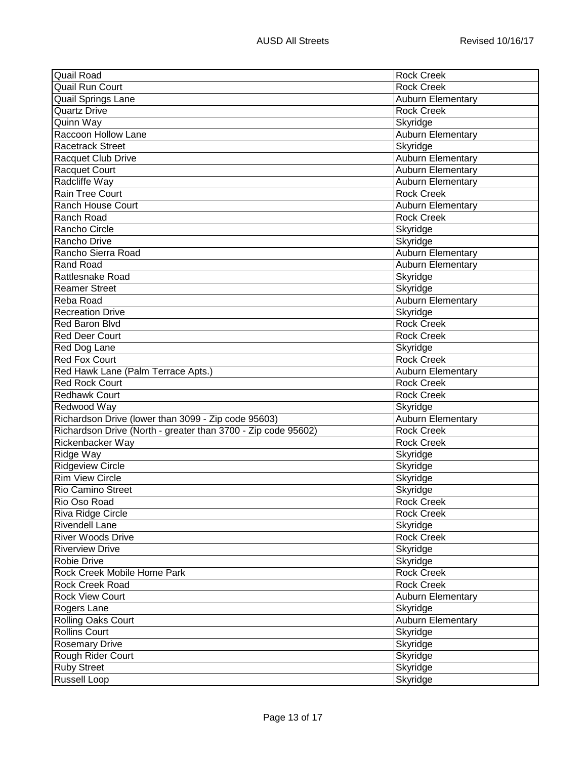| Quail Road                                                    | <b>Rock Creek</b>        |
|---------------------------------------------------------------|--------------------------|
| <b>Quail Run Court</b>                                        | <b>Rock Creek</b>        |
| <b>Quail Springs Lane</b>                                     | <b>Auburn Elementary</b> |
| <b>Quartz Drive</b>                                           | <b>Rock Creek</b>        |
| Quinn Way                                                     | Skyridge                 |
| Raccoon Hollow Lane                                           | Auburn Elementary        |
| Racetrack Street                                              | Skyridge                 |
| Racquet Club Drive                                            | <b>Auburn Elementary</b> |
| Racquet Court                                                 | Auburn Elementary        |
| Radcliffe Way                                                 | Auburn Elementary        |
| Rain Tree Court                                               | <b>Rock Creek</b>        |
| Ranch House Court                                             | Auburn Elementary        |
| Ranch Road                                                    | <b>Rock Creek</b>        |
| Rancho Circle                                                 | Skyridge                 |
| Rancho Drive                                                  | Skyridge                 |
| Rancho Sierra Road                                            | <b>Auburn Elementary</b> |
| <b>Rand Road</b>                                              | Auburn Elementary        |
| <b>Rattlesnake Road</b>                                       | Skyridge                 |
| <b>Reamer Street</b>                                          | Skyridge                 |
| Reba Road                                                     | Auburn Elementary        |
| <b>Recreation Drive</b>                                       | Skyridge                 |
| <b>Red Baron Blvd</b>                                         | <b>Rock Creek</b>        |
| <b>Red Deer Court</b>                                         | <b>Rock Creek</b>        |
| Red Dog Lane                                                  | Skyridge                 |
| <b>Red Fox Court</b>                                          | <b>Rock Creek</b>        |
| Red Hawk Lane (Palm Terrace Apts.)                            | Auburn Elementary        |
| <b>Red Rock Court</b>                                         | <b>Rock Creek</b>        |
| Redhawk Court                                                 | <b>Rock Creek</b>        |
| Redwood Way                                                   | Skyridge                 |
| Richardson Drive (lower than 3099 - Zip code 95603)           | Auburn Elementary        |
| Richardson Drive (North - greater than 3700 - Zip code 95602) | <b>Rock Creek</b>        |
| Rickenbacker Way                                              | <b>Rock Creek</b>        |
| Ridge Way                                                     | Skyridge                 |
| <b>Ridgeview Circle</b>                                       | Skyridge                 |
| <b>Rim View Circle</b>                                        | Skyridge                 |
| <b>Rio Camino Street</b>                                      | Skyridge                 |
| Rio Oso Road                                                  | Rock Creek               |
| Riva Ridge Circle                                             | <b>Rock Creek</b>        |
| <b>Rivendell Lane</b>                                         | Skyridge                 |
| <b>River Woods Drive</b>                                      | <b>Rock Creek</b>        |
| <b>Riverview Drive</b>                                        | Skyridge                 |
| Robie Drive                                                   | Skyridge                 |
| Rock Creek Mobile Home Park                                   | <b>Rock Creek</b>        |
| Rock Creek Road                                               | <b>Rock Creek</b>        |
| <b>Rock View Court</b>                                        | Auburn Elementary        |
| Rogers Lane                                                   | Skyridge                 |
| Rolling Oaks Court                                            | Auburn Elementary        |
| <b>Rollins Court</b>                                          | Skyridge                 |
| <b>Rosemary Drive</b>                                         | Skyridge                 |
| Rough Rider Court                                             | Skyridge                 |
| <b>Ruby Street</b>                                            | Skyridge                 |
| <b>Russell Loop</b>                                           | Skyridge                 |
|                                                               |                          |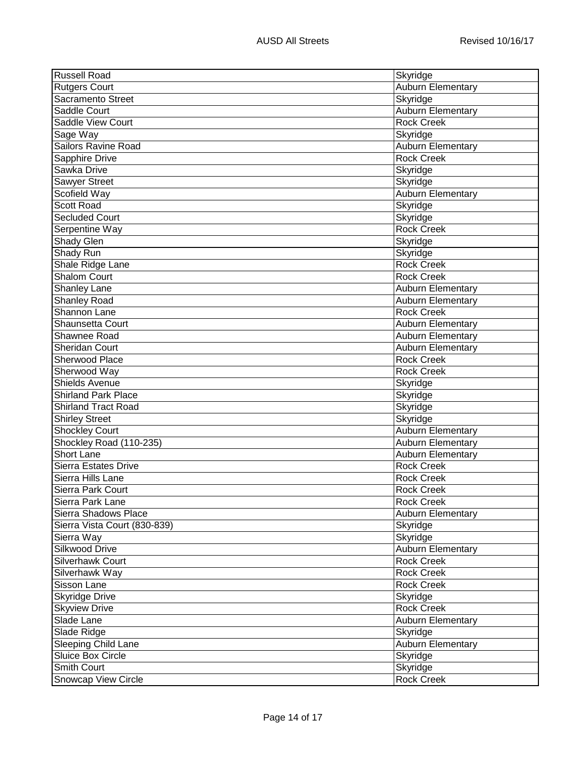| <b>Russell Road</b>          | Skyridge                 |
|------------------------------|--------------------------|
| <b>Rutgers Court</b>         | Auburn Elementary        |
| Sacramento Street            | Skyridge                 |
| Saddle Court                 | Auburn Elementary        |
| <b>Saddle View Court</b>     | <b>Rock Creek</b>        |
| Sage Way                     | Skyridge                 |
| Sailors Ravine Road          | Auburn Elementary        |
| Sapphire Drive               | <b>Rock Creek</b>        |
| Sawka Drive                  | Skyridge                 |
| Sawyer Street                | Skyridge                 |
| Scofield Way                 | Auburn Elementary        |
| <b>Scott Road</b>            | Skyridge                 |
| <b>Secluded Court</b>        | Skyridge                 |
| Serpentine Way               | <b>Rock Creek</b>        |
| Shady Glen                   | Skyridge                 |
| Shady Run                    | Skyridge                 |
| Shale Ridge Lane             | <b>Rock Creek</b>        |
| <b>Shalom Court</b>          | <b>Rock Creek</b>        |
| <b>Shanley Lane</b>          | Auburn Elementary        |
| Shanley Road                 | <b>Auburn Elementary</b> |
| Shannon Lane                 | <b>Rock Creek</b>        |
| <b>Shaunsetta Court</b>      | Auburn Elementary        |
| Shawnee Road                 | Auburn Elementary        |
| Sheridan Court               | Auburn Elementary        |
| Sherwood Place               | <b>Rock Creek</b>        |
| Sherwood Way                 | <b>Rock Creek</b>        |
| <b>Shields Avenue</b>        | Skyridge                 |
| <b>Shirland Park Place</b>   | Skyridge                 |
| <b>Shirland Tract Road</b>   | Skyridge                 |
| <b>Shirley Street</b>        | Skyridge                 |
| <b>Shockley Court</b>        | <b>Auburn Elementary</b> |
| Shockley Road (110-235)      | <b>Auburn Elementary</b> |
| <b>Short Lane</b>            | <b>Auburn Elementary</b> |
| <b>Sierra Estates Drive</b>  | <b>Rock Creek</b>        |
| Sierra Hills Lane            | <b>Rock Creek</b>        |
| Sierra Park Court            | <b>Rock Creek</b>        |
| Sierra Park Lane             | <b>Rock Creek</b>        |
| Sierra Shadows Place         | <b>Auburn Elementary</b> |
| Sierra Vista Court (830-839) | Skyridge                 |
| Sierra Way                   | Skyridge                 |
| Silkwood Drive               | Auburn Elementary        |
| Silverhawk Court             | <b>Rock Creek</b>        |
| Silverhawk Way               | <b>Rock Creek</b>        |
| Sisson Lane                  | <b>Rock Creek</b>        |
| <b>Skyridge Drive</b>        | Skyridge                 |
| <b>Skyview Drive</b>         | <b>Rock Creek</b>        |
| Slade Lane                   | Auburn Elementary        |
| Slade Ridge                  | Skyridge                 |
| Sleeping Child Lane          | Auburn Elementary        |
| <b>Sluice Box Circle</b>     | Skyridge                 |
| <b>Smith Court</b>           | Skyridge                 |
| Snowcap View Circle          | <b>Rock Creek</b>        |
|                              |                          |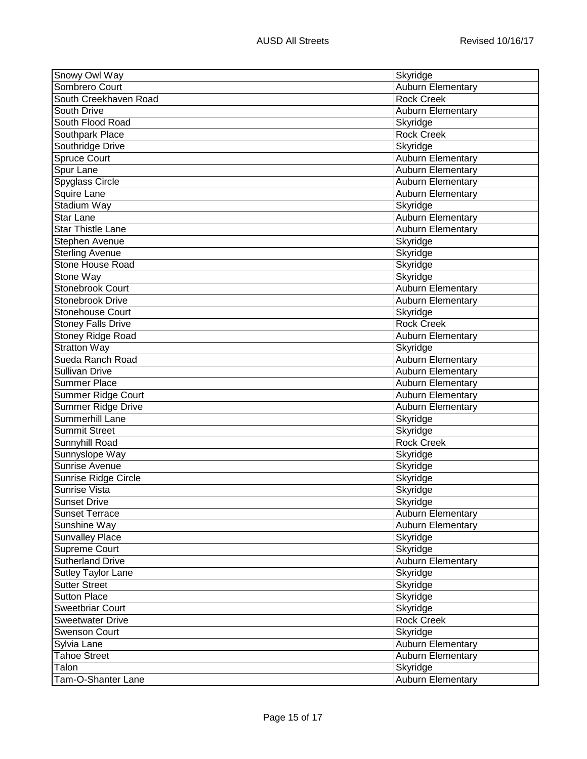| Sombrero Court<br>Auburn Elementary<br>South Creekhaven Road<br><b>Rock Creek</b><br>South Drive<br><b>Auburn Elementary</b><br>South Flood Road<br>Skyridge<br><b>Rock Creek</b><br>Southpark Place<br>Southridge Drive<br>Skyridge<br><b>Spruce Court</b><br><b>Auburn Elementary</b><br><b>Auburn Elementary</b><br>Spur Lane<br>Spyglass Circle<br>Auburn Elementary<br><b>Auburn Elementary</b><br>Squire Lane<br>Stadium Way<br>Skyridge<br><b>Auburn Elementary</b><br><b>Star Lane</b><br><b>Star Thistle Lane</b><br><b>Auburn Elementary</b><br>Stephen Avenue<br>Skyridge<br><b>Sterling Avenue</b><br>Skyridge<br><b>Stone House Road</b><br>Skyridge<br>Stone Way<br>Skyridge<br><b>Stonebrook Court</b><br>Auburn Elementary<br>Stonebrook Drive<br><b>Auburn Elementary</b><br><b>Stonehouse Court</b><br>Skyridge<br><b>Rock Creek</b><br><b>Stoney Falls Drive</b><br>Stoney Ridge Road<br><b>Auburn Elementary</b><br><b>Stratton Way</b><br>Skyridge<br>Sueda Ranch Road<br>Auburn Elementary<br><b>Sullivan Drive</b><br>Auburn Elementary<br><b>Summer Place</b><br><b>Auburn Elementary</b><br>Summer Ridge Court<br><b>Auburn Elementary</b><br><b>Summer Ridge Drive</b><br><b>Auburn Elementary</b><br>Summerhill Lane<br>Skyridge<br><b>Summit Street</b><br>Skyridge<br><b>Rock Creek</b><br>Sunnyhill Road<br>Sunnyslope Way<br>Skyridge<br>Sunrise Avenue<br>Skyridge<br>Sunrise Ridge Circle<br>Skyridge<br>Sunrise Vista<br>Skyridge<br>Sunset Drive<br>Skyridge<br><b>Sunset Terrace</b><br>Auburn Elementary<br>Sunshine Way<br><b>Auburn Elementary</b><br><b>Sunvalley Place</b><br>Skyridge<br>Supreme Court<br>Skyridge<br>Sutherland Drive<br>Auburn Elementary<br>Sutley Taylor Lane<br>Skyridge<br><b>Sutter Street</b><br>Skyridge<br><b>Sutton Place</b><br>Skyridge<br><b>Sweetbriar Court</b><br>Skyridge<br><b>Sweetwater Drive</b><br><b>Rock Creek</b><br><b>Swenson Court</b><br>Skyridge<br>Sylvia Lane<br>Auburn Elementary<br><b>Tahoe Street</b><br>Auburn Elementary<br>Talon<br>Skyridge | Snowy Owl Way      | Skyridge          |
|------------------------------------------------------------------------------------------------------------------------------------------------------------------------------------------------------------------------------------------------------------------------------------------------------------------------------------------------------------------------------------------------------------------------------------------------------------------------------------------------------------------------------------------------------------------------------------------------------------------------------------------------------------------------------------------------------------------------------------------------------------------------------------------------------------------------------------------------------------------------------------------------------------------------------------------------------------------------------------------------------------------------------------------------------------------------------------------------------------------------------------------------------------------------------------------------------------------------------------------------------------------------------------------------------------------------------------------------------------------------------------------------------------------------------------------------------------------------------------------------------------------------------------------------------------------------------------------------------------------------------------------------------------------------------------------------------------------------------------------------------------------------------------------------------------------------------------------------------------------------------------------------------------------------------------------------------------------------------------------------------------------------------------------------|--------------------|-------------------|
|                                                                                                                                                                                                                                                                                                                                                                                                                                                                                                                                                                                                                                                                                                                                                                                                                                                                                                                                                                                                                                                                                                                                                                                                                                                                                                                                                                                                                                                                                                                                                                                                                                                                                                                                                                                                                                                                                                                                                                                                                                                |                    |                   |
|                                                                                                                                                                                                                                                                                                                                                                                                                                                                                                                                                                                                                                                                                                                                                                                                                                                                                                                                                                                                                                                                                                                                                                                                                                                                                                                                                                                                                                                                                                                                                                                                                                                                                                                                                                                                                                                                                                                                                                                                                                                |                    |                   |
|                                                                                                                                                                                                                                                                                                                                                                                                                                                                                                                                                                                                                                                                                                                                                                                                                                                                                                                                                                                                                                                                                                                                                                                                                                                                                                                                                                                                                                                                                                                                                                                                                                                                                                                                                                                                                                                                                                                                                                                                                                                |                    |                   |
|                                                                                                                                                                                                                                                                                                                                                                                                                                                                                                                                                                                                                                                                                                                                                                                                                                                                                                                                                                                                                                                                                                                                                                                                                                                                                                                                                                                                                                                                                                                                                                                                                                                                                                                                                                                                                                                                                                                                                                                                                                                |                    |                   |
|                                                                                                                                                                                                                                                                                                                                                                                                                                                                                                                                                                                                                                                                                                                                                                                                                                                                                                                                                                                                                                                                                                                                                                                                                                                                                                                                                                                                                                                                                                                                                                                                                                                                                                                                                                                                                                                                                                                                                                                                                                                |                    |                   |
|                                                                                                                                                                                                                                                                                                                                                                                                                                                                                                                                                                                                                                                                                                                                                                                                                                                                                                                                                                                                                                                                                                                                                                                                                                                                                                                                                                                                                                                                                                                                                                                                                                                                                                                                                                                                                                                                                                                                                                                                                                                |                    |                   |
|                                                                                                                                                                                                                                                                                                                                                                                                                                                                                                                                                                                                                                                                                                                                                                                                                                                                                                                                                                                                                                                                                                                                                                                                                                                                                                                                                                                                                                                                                                                                                                                                                                                                                                                                                                                                                                                                                                                                                                                                                                                |                    |                   |
|                                                                                                                                                                                                                                                                                                                                                                                                                                                                                                                                                                                                                                                                                                                                                                                                                                                                                                                                                                                                                                                                                                                                                                                                                                                                                                                                                                                                                                                                                                                                                                                                                                                                                                                                                                                                                                                                                                                                                                                                                                                |                    |                   |
|                                                                                                                                                                                                                                                                                                                                                                                                                                                                                                                                                                                                                                                                                                                                                                                                                                                                                                                                                                                                                                                                                                                                                                                                                                                                                                                                                                                                                                                                                                                                                                                                                                                                                                                                                                                                                                                                                                                                                                                                                                                |                    |                   |
|                                                                                                                                                                                                                                                                                                                                                                                                                                                                                                                                                                                                                                                                                                                                                                                                                                                                                                                                                                                                                                                                                                                                                                                                                                                                                                                                                                                                                                                                                                                                                                                                                                                                                                                                                                                                                                                                                                                                                                                                                                                |                    |                   |
|                                                                                                                                                                                                                                                                                                                                                                                                                                                                                                                                                                                                                                                                                                                                                                                                                                                                                                                                                                                                                                                                                                                                                                                                                                                                                                                                                                                                                                                                                                                                                                                                                                                                                                                                                                                                                                                                                                                                                                                                                                                |                    |                   |
|                                                                                                                                                                                                                                                                                                                                                                                                                                                                                                                                                                                                                                                                                                                                                                                                                                                                                                                                                                                                                                                                                                                                                                                                                                                                                                                                                                                                                                                                                                                                                                                                                                                                                                                                                                                                                                                                                                                                                                                                                                                |                    |                   |
|                                                                                                                                                                                                                                                                                                                                                                                                                                                                                                                                                                                                                                                                                                                                                                                                                                                                                                                                                                                                                                                                                                                                                                                                                                                                                                                                                                                                                                                                                                                                                                                                                                                                                                                                                                                                                                                                                                                                                                                                                                                |                    |                   |
|                                                                                                                                                                                                                                                                                                                                                                                                                                                                                                                                                                                                                                                                                                                                                                                                                                                                                                                                                                                                                                                                                                                                                                                                                                                                                                                                                                                                                                                                                                                                                                                                                                                                                                                                                                                                                                                                                                                                                                                                                                                |                    |                   |
|                                                                                                                                                                                                                                                                                                                                                                                                                                                                                                                                                                                                                                                                                                                                                                                                                                                                                                                                                                                                                                                                                                                                                                                                                                                                                                                                                                                                                                                                                                                                                                                                                                                                                                                                                                                                                                                                                                                                                                                                                                                |                    |                   |
|                                                                                                                                                                                                                                                                                                                                                                                                                                                                                                                                                                                                                                                                                                                                                                                                                                                                                                                                                                                                                                                                                                                                                                                                                                                                                                                                                                                                                                                                                                                                                                                                                                                                                                                                                                                                                                                                                                                                                                                                                                                |                    |                   |
|                                                                                                                                                                                                                                                                                                                                                                                                                                                                                                                                                                                                                                                                                                                                                                                                                                                                                                                                                                                                                                                                                                                                                                                                                                                                                                                                                                                                                                                                                                                                                                                                                                                                                                                                                                                                                                                                                                                                                                                                                                                |                    |                   |
|                                                                                                                                                                                                                                                                                                                                                                                                                                                                                                                                                                                                                                                                                                                                                                                                                                                                                                                                                                                                                                                                                                                                                                                                                                                                                                                                                                                                                                                                                                                                                                                                                                                                                                                                                                                                                                                                                                                                                                                                                                                |                    |                   |
|                                                                                                                                                                                                                                                                                                                                                                                                                                                                                                                                                                                                                                                                                                                                                                                                                                                                                                                                                                                                                                                                                                                                                                                                                                                                                                                                                                                                                                                                                                                                                                                                                                                                                                                                                                                                                                                                                                                                                                                                                                                |                    |                   |
|                                                                                                                                                                                                                                                                                                                                                                                                                                                                                                                                                                                                                                                                                                                                                                                                                                                                                                                                                                                                                                                                                                                                                                                                                                                                                                                                                                                                                                                                                                                                                                                                                                                                                                                                                                                                                                                                                                                                                                                                                                                |                    |                   |
|                                                                                                                                                                                                                                                                                                                                                                                                                                                                                                                                                                                                                                                                                                                                                                                                                                                                                                                                                                                                                                                                                                                                                                                                                                                                                                                                                                                                                                                                                                                                                                                                                                                                                                                                                                                                                                                                                                                                                                                                                                                |                    |                   |
|                                                                                                                                                                                                                                                                                                                                                                                                                                                                                                                                                                                                                                                                                                                                                                                                                                                                                                                                                                                                                                                                                                                                                                                                                                                                                                                                                                                                                                                                                                                                                                                                                                                                                                                                                                                                                                                                                                                                                                                                                                                |                    |                   |
|                                                                                                                                                                                                                                                                                                                                                                                                                                                                                                                                                                                                                                                                                                                                                                                                                                                                                                                                                                                                                                                                                                                                                                                                                                                                                                                                                                                                                                                                                                                                                                                                                                                                                                                                                                                                                                                                                                                                                                                                                                                |                    |                   |
|                                                                                                                                                                                                                                                                                                                                                                                                                                                                                                                                                                                                                                                                                                                                                                                                                                                                                                                                                                                                                                                                                                                                                                                                                                                                                                                                                                                                                                                                                                                                                                                                                                                                                                                                                                                                                                                                                                                                                                                                                                                |                    |                   |
|                                                                                                                                                                                                                                                                                                                                                                                                                                                                                                                                                                                                                                                                                                                                                                                                                                                                                                                                                                                                                                                                                                                                                                                                                                                                                                                                                                                                                                                                                                                                                                                                                                                                                                                                                                                                                                                                                                                                                                                                                                                |                    |                   |
|                                                                                                                                                                                                                                                                                                                                                                                                                                                                                                                                                                                                                                                                                                                                                                                                                                                                                                                                                                                                                                                                                                                                                                                                                                                                                                                                                                                                                                                                                                                                                                                                                                                                                                                                                                                                                                                                                                                                                                                                                                                |                    |                   |
|                                                                                                                                                                                                                                                                                                                                                                                                                                                                                                                                                                                                                                                                                                                                                                                                                                                                                                                                                                                                                                                                                                                                                                                                                                                                                                                                                                                                                                                                                                                                                                                                                                                                                                                                                                                                                                                                                                                                                                                                                                                |                    |                   |
|                                                                                                                                                                                                                                                                                                                                                                                                                                                                                                                                                                                                                                                                                                                                                                                                                                                                                                                                                                                                                                                                                                                                                                                                                                                                                                                                                                                                                                                                                                                                                                                                                                                                                                                                                                                                                                                                                                                                                                                                                                                |                    |                   |
|                                                                                                                                                                                                                                                                                                                                                                                                                                                                                                                                                                                                                                                                                                                                                                                                                                                                                                                                                                                                                                                                                                                                                                                                                                                                                                                                                                                                                                                                                                                                                                                                                                                                                                                                                                                                                                                                                                                                                                                                                                                |                    |                   |
|                                                                                                                                                                                                                                                                                                                                                                                                                                                                                                                                                                                                                                                                                                                                                                                                                                                                                                                                                                                                                                                                                                                                                                                                                                                                                                                                                                                                                                                                                                                                                                                                                                                                                                                                                                                                                                                                                                                                                                                                                                                |                    |                   |
|                                                                                                                                                                                                                                                                                                                                                                                                                                                                                                                                                                                                                                                                                                                                                                                                                                                                                                                                                                                                                                                                                                                                                                                                                                                                                                                                                                                                                                                                                                                                                                                                                                                                                                                                                                                                                                                                                                                                                                                                                                                |                    |                   |
|                                                                                                                                                                                                                                                                                                                                                                                                                                                                                                                                                                                                                                                                                                                                                                                                                                                                                                                                                                                                                                                                                                                                                                                                                                                                                                                                                                                                                                                                                                                                                                                                                                                                                                                                                                                                                                                                                                                                                                                                                                                |                    |                   |
|                                                                                                                                                                                                                                                                                                                                                                                                                                                                                                                                                                                                                                                                                                                                                                                                                                                                                                                                                                                                                                                                                                                                                                                                                                                                                                                                                                                                                                                                                                                                                                                                                                                                                                                                                                                                                                                                                                                                                                                                                                                |                    |                   |
|                                                                                                                                                                                                                                                                                                                                                                                                                                                                                                                                                                                                                                                                                                                                                                                                                                                                                                                                                                                                                                                                                                                                                                                                                                                                                                                                                                                                                                                                                                                                                                                                                                                                                                                                                                                                                                                                                                                                                                                                                                                |                    |                   |
|                                                                                                                                                                                                                                                                                                                                                                                                                                                                                                                                                                                                                                                                                                                                                                                                                                                                                                                                                                                                                                                                                                                                                                                                                                                                                                                                                                                                                                                                                                                                                                                                                                                                                                                                                                                                                                                                                                                                                                                                                                                |                    |                   |
|                                                                                                                                                                                                                                                                                                                                                                                                                                                                                                                                                                                                                                                                                                                                                                                                                                                                                                                                                                                                                                                                                                                                                                                                                                                                                                                                                                                                                                                                                                                                                                                                                                                                                                                                                                                                                                                                                                                                                                                                                                                |                    |                   |
|                                                                                                                                                                                                                                                                                                                                                                                                                                                                                                                                                                                                                                                                                                                                                                                                                                                                                                                                                                                                                                                                                                                                                                                                                                                                                                                                                                                                                                                                                                                                                                                                                                                                                                                                                                                                                                                                                                                                                                                                                                                |                    |                   |
|                                                                                                                                                                                                                                                                                                                                                                                                                                                                                                                                                                                                                                                                                                                                                                                                                                                                                                                                                                                                                                                                                                                                                                                                                                                                                                                                                                                                                                                                                                                                                                                                                                                                                                                                                                                                                                                                                                                                                                                                                                                |                    |                   |
|                                                                                                                                                                                                                                                                                                                                                                                                                                                                                                                                                                                                                                                                                                                                                                                                                                                                                                                                                                                                                                                                                                                                                                                                                                                                                                                                                                                                                                                                                                                                                                                                                                                                                                                                                                                                                                                                                                                                                                                                                                                |                    |                   |
|                                                                                                                                                                                                                                                                                                                                                                                                                                                                                                                                                                                                                                                                                                                                                                                                                                                                                                                                                                                                                                                                                                                                                                                                                                                                                                                                                                                                                                                                                                                                                                                                                                                                                                                                                                                                                                                                                                                                                                                                                                                |                    |                   |
|                                                                                                                                                                                                                                                                                                                                                                                                                                                                                                                                                                                                                                                                                                                                                                                                                                                                                                                                                                                                                                                                                                                                                                                                                                                                                                                                                                                                                                                                                                                                                                                                                                                                                                                                                                                                                                                                                                                                                                                                                                                |                    |                   |
|                                                                                                                                                                                                                                                                                                                                                                                                                                                                                                                                                                                                                                                                                                                                                                                                                                                                                                                                                                                                                                                                                                                                                                                                                                                                                                                                                                                                                                                                                                                                                                                                                                                                                                                                                                                                                                                                                                                                                                                                                                                |                    |                   |
|                                                                                                                                                                                                                                                                                                                                                                                                                                                                                                                                                                                                                                                                                                                                                                                                                                                                                                                                                                                                                                                                                                                                                                                                                                                                                                                                                                                                                                                                                                                                                                                                                                                                                                                                                                                                                                                                                                                                                                                                                                                |                    |                   |
|                                                                                                                                                                                                                                                                                                                                                                                                                                                                                                                                                                                                                                                                                                                                                                                                                                                                                                                                                                                                                                                                                                                                                                                                                                                                                                                                                                                                                                                                                                                                                                                                                                                                                                                                                                                                                                                                                                                                                                                                                                                |                    |                   |
|                                                                                                                                                                                                                                                                                                                                                                                                                                                                                                                                                                                                                                                                                                                                                                                                                                                                                                                                                                                                                                                                                                                                                                                                                                                                                                                                                                                                                                                                                                                                                                                                                                                                                                                                                                                                                                                                                                                                                                                                                                                |                    |                   |
|                                                                                                                                                                                                                                                                                                                                                                                                                                                                                                                                                                                                                                                                                                                                                                                                                                                                                                                                                                                                                                                                                                                                                                                                                                                                                                                                                                                                                                                                                                                                                                                                                                                                                                                                                                                                                                                                                                                                                                                                                                                |                    |                   |
|                                                                                                                                                                                                                                                                                                                                                                                                                                                                                                                                                                                                                                                                                                                                                                                                                                                                                                                                                                                                                                                                                                                                                                                                                                                                                                                                                                                                                                                                                                                                                                                                                                                                                                                                                                                                                                                                                                                                                                                                                                                |                    |                   |
|                                                                                                                                                                                                                                                                                                                                                                                                                                                                                                                                                                                                                                                                                                                                                                                                                                                                                                                                                                                                                                                                                                                                                                                                                                                                                                                                                                                                                                                                                                                                                                                                                                                                                                                                                                                                                                                                                                                                                                                                                                                |                    |                   |
|                                                                                                                                                                                                                                                                                                                                                                                                                                                                                                                                                                                                                                                                                                                                                                                                                                                                                                                                                                                                                                                                                                                                                                                                                                                                                                                                                                                                                                                                                                                                                                                                                                                                                                                                                                                                                                                                                                                                                                                                                                                |                    |                   |
|                                                                                                                                                                                                                                                                                                                                                                                                                                                                                                                                                                                                                                                                                                                                                                                                                                                                                                                                                                                                                                                                                                                                                                                                                                                                                                                                                                                                                                                                                                                                                                                                                                                                                                                                                                                                                                                                                                                                                                                                                                                |                    |                   |
|                                                                                                                                                                                                                                                                                                                                                                                                                                                                                                                                                                                                                                                                                                                                                                                                                                                                                                                                                                                                                                                                                                                                                                                                                                                                                                                                                                                                                                                                                                                                                                                                                                                                                                                                                                                                                                                                                                                                                                                                                                                | Tam-O-Shanter Lane | Auburn Elementary |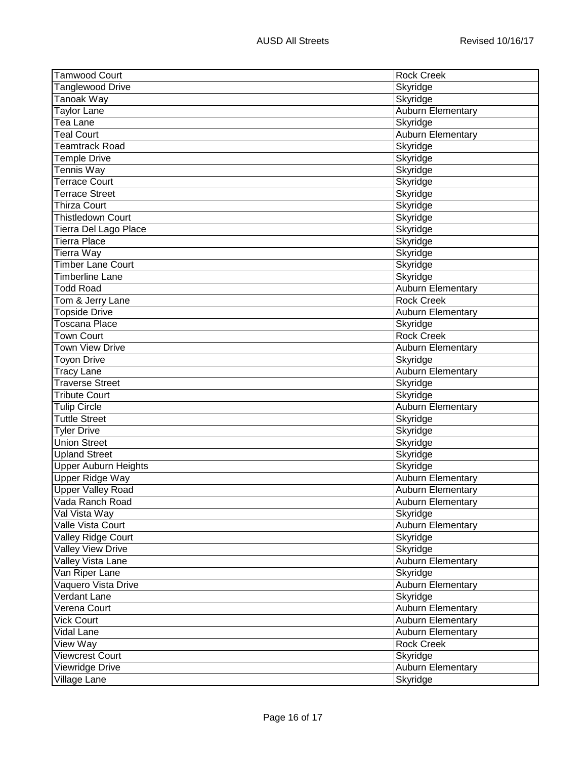| <b>Tamwood Court</b>        | <b>Rock Creek</b>        |
|-----------------------------|--------------------------|
| Tanglewood Drive            | Skyridge                 |
| Tanoak Way                  | Skyridge                 |
| Taylor Lane                 | Auburn Elementary        |
| Tea Lane                    | Skyridge                 |
| <b>Teal Court</b>           | Auburn Elementary        |
| Teamtrack Road              | Skyridge                 |
| <b>Temple Drive</b>         | Skyridge                 |
| Tennis Way                  | Skyridge                 |
| Terrace Court               | Skyridge                 |
| <b>Terrace Street</b>       | Skyridge                 |
| Thirza Court                | Skyridge                 |
| <b>Thistledown Court</b>    | Skyridge                 |
| Tierra Del Lago Place       | Skyridge                 |
| Tierra Place                | Skyridge                 |
| Tierra Way                  | Skyridge                 |
| <b>Timber Lane Court</b>    | Skyridge                 |
| Timberline Lane             | Skyridge                 |
| Todd Road                   | Auburn Elementary        |
| Tom & Jerry Lane            | <b>Rock Creek</b>        |
| <b>Topside Drive</b>        | <b>Auburn Elementary</b> |
| Toscana Place               | Skyridge                 |
| <b>Town Court</b>           | <b>Rock Creek</b>        |
| Town View Drive             | <b>Auburn Elementary</b> |
| <b>Toyon Drive</b>          | Skyridge                 |
| <b>Tracy Lane</b>           | <b>Auburn Elementary</b> |
| <b>Traverse Street</b>      | Skyridge                 |
| <b>Tribute Court</b>        | Skyridge                 |
| <b>Tulip Circle</b>         | <b>Auburn Elementary</b> |
| <b>Tuttle Street</b>        | Skyridge                 |
| <b>Tyler Drive</b>          | Skyridge                 |
| <b>Union Street</b>         | Skyridge                 |
| <b>Upland Street</b>        | Skyridge                 |
| <b>Upper Auburn Heights</b> | Skyridge                 |
| Upper Ridge Way             | Auburn Elementary        |
| <b>Upper Valley Road</b>    | <b>Auburn Elementary</b> |
| Vada Ranch Road             | <b>Auburn Elementary</b> |
| Val Vista Way               | Skyridge                 |
| Valle Vista Court           | Auburn Elementary        |
| Valley Ridge Court          | Skyridge                 |
| <b>Valley View Drive</b>    | Skyridge                 |
| Valley Vista Lane           | Auburn Elementary        |
| Van Riper Lane              | Skyridge                 |
| Vaquero Vista Drive         | <b>Auburn Elementary</b> |
| Verdant Lane                | Skyridge                 |
| Verena Court                | Auburn Elementary        |
| <b>Vick Court</b>           | Auburn Elementary        |
| Vidal Lane                  | <b>Auburn Elementary</b> |
| View Way                    | <b>Rock Creek</b>        |
| <b>Viewcrest Court</b>      | Skyridge                 |
| Viewridge Drive             | <b>Auburn Elementary</b> |
| Village Lane                | Skyridge                 |
|                             |                          |